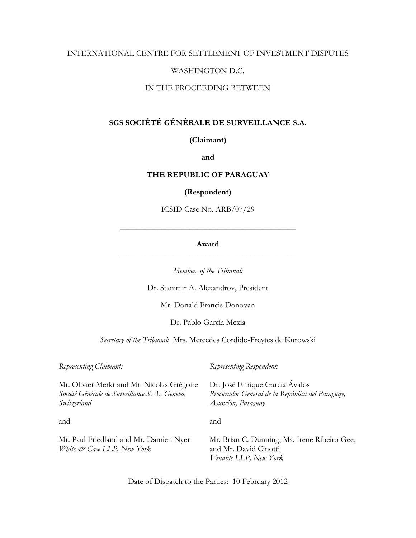### INTERNATIONAL CENTRE FOR SETTLEMENT OF INVESTMENT DISPUTES

### WASHINGTON D.C.

#### IN THE PROCEEDING BETWEEN

# **SGS SOCIÉTÉ GÉNÉRALE DE SURVEILLANCE S.A.**

### **(Claimant)**

#### **and**

### **THE REPUBLIC OF PARAGUAY**

#### **(Respondent)**

ICSID Case No. ARB/07/29

### **Award** \_\_\_\_\_\_\_\_\_\_\_\_\_\_\_\_\_\_\_\_\_\_\_\_\_\_\_\_\_\_\_\_\_\_\_\_\_\_\_\_\_\_\_

\_\_\_\_\_\_\_\_\_\_\_\_\_\_\_\_\_\_\_\_\_\_\_\_\_\_\_\_\_\_\_\_\_\_\_\_\_\_\_\_\_\_\_

*Members of the Tribunal:* 

Dr. Stanimir A. Alexandrov, President

Mr. Donald Francis Donovan

Dr. Pablo García Mexía

*Secretary of the Tribunal:* Mrs. Mercedes Cordido-Freytes de Kurowski

| Representing Claimant:                                                                                      | Representing Respondent:                                                                                 |
|-------------------------------------------------------------------------------------------------------------|----------------------------------------------------------------------------------------------------------|
| Mr. Olivier Merkt and Mr. Nicolas Grégoire<br>Société Générale de Surveillance S.A., Geneva,<br>Switzerland | Dr. José Enrique García Ávalos<br>Procurador General de la República del Paraguay,<br>Asunción, Paraguay |
| and                                                                                                         | and                                                                                                      |
| Mr. Paul Friedland and Mr. Damien Nyer<br>White & Case LLP, New York                                        | Mr. Brian C. Dunning, Ms. Irene Ribeiro Gee,<br>and Mr. David Cinotti<br>Venable LLP, New York           |

Date of Dispatch to the Parties: 10 February 2012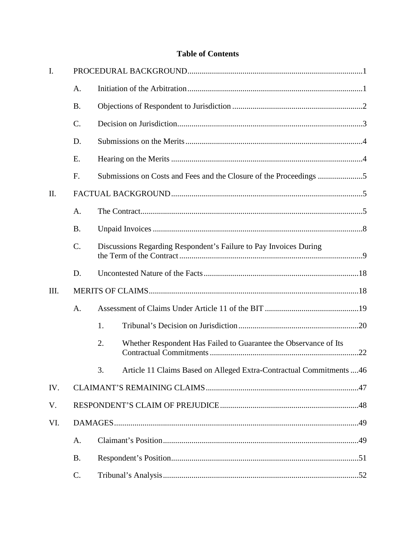# **Table of Contents**

| $\mathbf{I}$ . |           |                                                                            |  |
|----------------|-----------|----------------------------------------------------------------------------|--|
|                | A.        |                                                                            |  |
|                | <b>B.</b> |                                                                            |  |
|                | $C$ .     |                                                                            |  |
|                | D.        |                                                                            |  |
|                | E.        |                                                                            |  |
|                | F.        | Submissions on Costs and Fees and the Closure of the Proceedings           |  |
| II.            |           |                                                                            |  |
|                | A.        |                                                                            |  |
|                | <b>B.</b> |                                                                            |  |
|                | C.        | Discussions Regarding Respondent's Failure to Pay Invoices During          |  |
|                | D.        |                                                                            |  |
| III.           |           |                                                                            |  |
|                | A.        |                                                                            |  |
|                |           | 1.                                                                         |  |
|                |           | 2.<br>Whether Respondent Has Failed to Guarantee the Observance of Its     |  |
|                |           | Article 11 Claims Based on Alleged Extra-Contractual Commitments  46<br>3. |  |
| IV.            |           |                                                                            |  |
| V.             |           |                                                                            |  |
| VI.            |           |                                                                            |  |
|                | A.        |                                                                            |  |
|                | <b>B.</b> |                                                                            |  |
|                | C.        |                                                                            |  |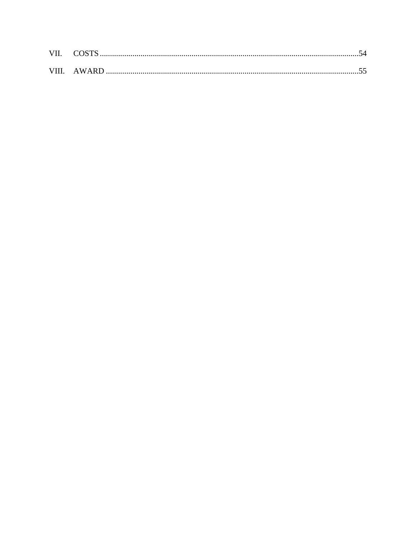| VII. COSTS. |  |
|-------------|--|
|             |  |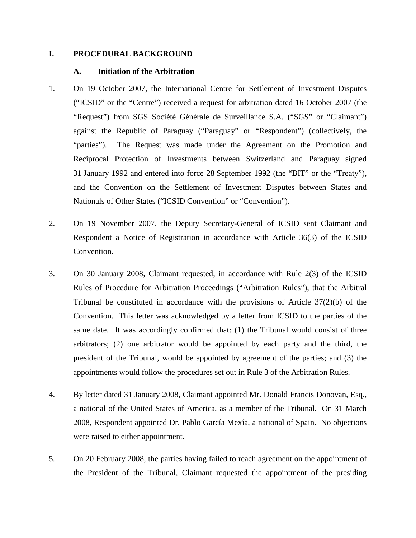### **I. PROCEDURAL BACKGROUND**

# **A. Initiation of the Arbitration**

- 1. On 19 October 2007, the International Centre for Settlement of Investment Disputes ("ICSID" or the "Centre") received a request for arbitration dated 16 October 2007 (the "Request") from SGS Société Générale de Surveillance S.A. ("SGS" or "Claimant") against the Republic of Paraguay ("Paraguay" or "Respondent") (collectively, the "parties"). The Request was made under the Agreement on the Promotion and Reciprocal Protection of Investments between Switzerland and Paraguay signed 31 January 1992 and entered into force 28 September 1992 (the "BIT" or the "Treaty"), and the Convention on the Settlement of Investment Disputes between States and Nationals of Other States ("ICSID Convention" or "Convention").
- 2. On 19 November 2007, the Deputy Secretary-General of ICSID sent Claimant and Respondent a Notice of Registration in accordance with Article 36(3) of the ICSID Convention.
- 3. On 30 January 2008, Claimant requested, in accordance with Rule 2(3) of the ICSID Rules of Procedure for Arbitration Proceedings ("Arbitration Rules"), that the Arbitral Tribunal be constituted in accordance with the provisions of Article 37(2)(b) of the Convention. This letter was acknowledged by a letter from ICSID to the parties of the same date. It was accordingly confirmed that: (1) the Tribunal would consist of three arbitrators; (2) one arbitrator would be appointed by each party and the third, the president of the Tribunal, would be appointed by agreement of the parties; and (3) the appointments would follow the procedures set out in Rule 3 of the Arbitration Rules.
- 4. By letter dated 31 January 2008, Claimant appointed Mr. Donald Francis Donovan, Esq., a national of the United States of America, as a member of the Tribunal. On 31 March 2008, Respondent appointed Dr. Pablo García Mexía, a national of Spain. No objections were raised to either appointment.
- 5. On 20 February 2008, the parties having failed to reach agreement on the appointment of the President of the Tribunal, Claimant requested the appointment of the presiding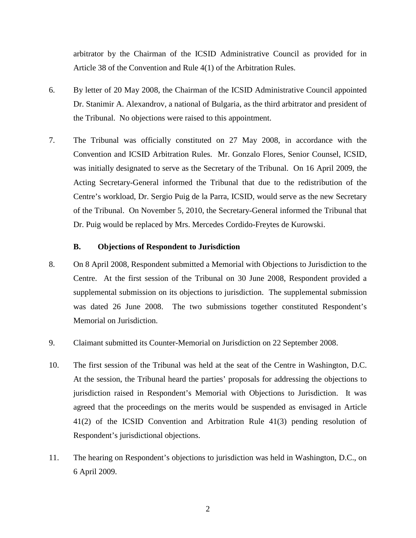arbitrator by the Chairman of the ICSID Administrative Council as provided for in Article 38 of the Convention and Rule 4(1) of the Arbitration Rules.

- 6. By letter of 20 May 2008, the Chairman of the ICSID Administrative Council appointed Dr. Stanimir A. Alexandrov, a national of Bulgaria, as the third arbitrator and president of the Tribunal. No objections were raised to this appointment.
- 7. The Tribunal was officially constituted on 27 May 2008, in accordance with the Convention and ICSID Arbitration Rules. Mr. Gonzalo Flores, Senior Counsel, ICSID, was initially designated to serve as the Secretary of the Tribunal. On 16 April 2009, the Acting Secretary-General informed the Tribunal that due to the redistribution of the Centre's workload, Dr. Sergio Puig de la Parra, ICSID, would serve as the new Secretary of the Tribunal. On November 5, 2010, the Secretary-General informed the Tribunal that Dr. Puig would be replaced by Mrs. Mercedes Cordido-Freytes de Kurowski.

### **B. Objections of Respondent to Jurisdiction**

- 8. On 8 April 2008, Respondent submitted a Memorial with Objections to Jurisdiction to the Centre. At the first session of the Tribunal on 30 June 2008, Respondent provided a supplemental submission on its objections to jurisdiction. The supplemental submission was dated 26 June 2008. The two submissions together constituted Respondent's Memorial on Jurisdiction.
- 9. Claimant submitted its Counter-Memorial on Jurisdiction on 22 September 2008.
- 10. The first session of the Tribunal was held at the seat of the Centre in Washington, D.C. At the session, the Tribunal heard the parties' proposals for addressing the objections to jurisdiction raised in Respondent's Memorial with Objections to Jurisdiction. It was agreed that the proceedings on the merits would be suspended as envisaged in Article 41(2) of the ICSID Convention and Arbitration Rule 41(3) pending resolution of Respondent's jurisdictional objections.
- 11. The hearing on Respondent's objections to jurisdiction was held in Washington, D.C., on 6 April 2009.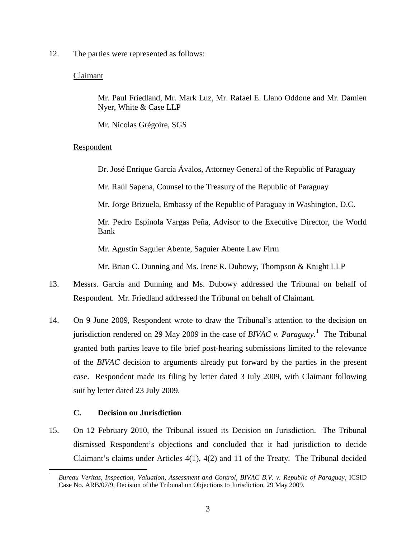12. The parties were represented as follows:

### Claimant

Mr. Paul Friedland, Mr. Mark Luz, Mr. Rafael E. Llano Oddone and Mr. Damien Nyer, White & Case LLP

Mr. Nicolas Grégoire, SGS

### Respondent

Dr. José Enrique García Ávalos, Attorney General of the Republic of Paraguay

Mr. Raúl Sapena, Counsel to the Treasury of the Republic of Paraguay

Mr. Jorge Brizuela, Embassy of the Republic of Paraguay in Washington, D.C.

Mr. Pedro Espínola Vargas Peña, Advisor to the Executive Director, the World Bank

Mr. Agustin Saguier Abente, Saguier Abente Law Firm

Mr. Brian C. Dunning and Ms. Irene R. Dubowy, Thompson & Knight LLP

- 13. Messrs. García and Dunning and Ms. Dubowy addressed the Tribunal on behalf of Respondent. Mr. Friedland addressed the Tribunal on behalf of Claimant.
- 14. On 9 June 2009, Respondent wrote to draw the Tribunal's attention to the decision on jurisdiction rendered on 29 May 2009 in the case of *BIVAC v. Paraguay*. [1](#page-5-0) The Tribunal granted both parties leave to file brief post-hearing submissions limited to the relevance of the *BIVAC* decision to arguments already put forward by the parties in the present case. Respondent made its filing by letter dated 3 July 2009, with Claimant following suit by letter dated 23 July 2009.

### **C. Decision on Jurisdiction**

15. On 12 February 2010, the Tribunal issued its Decision on Jurisdiction. The Tribunal dismissed Respondent's objections and concluded that it had jurisdiction to decide Claimant's claims under Articles 4(1), 4(2) and 11 of the Treaty. The Tribunal decided

<span id="page-5-0"></span> <sup>1</sup> *Bureau Veritas, Inspection, Valuation, Assessment and Control, BIVAC B.V. v. Republic of Paraguay*, ICSID Case No. ARB/07/9, Decision of the Tribunal on Objections to Jurisdiction, 29 May 2009.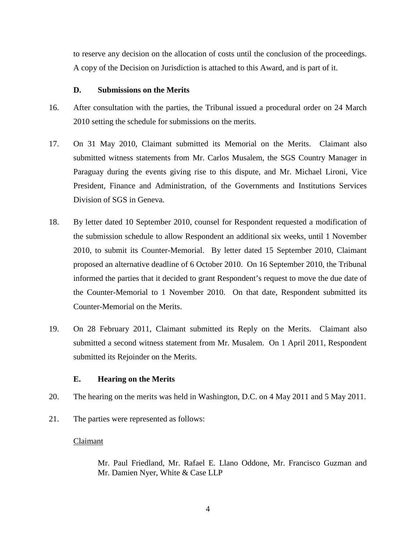to reserve any decision on the allocation of costs until the conclusion of the proceedings. A copy of the Decision on Jurisdiction is attached to this Award, and is part of it.

### **D. Submissions on the Merits**

- 16. After consultation with the parties, the Tribunal issued a procedural order on 24 March 2010 setting the schedule for submissions on the merits.
- 17. On 31 May 2010, Claimant submitted its Memorial on the Merits. Claimant also submitted witness statements from Mr. Carlos Musalem, the SGS Country Manager in Paraguay during the events giving rise to this dispute, and Mr. Michael Lironi, Vice President, Finance and Administration, of the Governments and Institutions Services Division of SGS in Geneva.
- 18. By letter dated 10 September 2010, counsel for Respondent requested a modification of the submission schedule to allow Respondent an additional six weeks, until 1 November 2010, to submit its Counter-Memorial. By letter dated 15 September 2010, Claimant proposed an alternative deadline of 6 October 2010. On 16 September 2010, the Tribunal informed the parties that it decided to grant Respondent's request to move the due date of the Counter-Memorial to 1 November 2010. On that date, Respondent submitted its Counter-Memorial on the Merits.
- 19. On 28 February 2011, Claimant submitted its Reply on the Merits. Claimant also submitted a second witness statement from Mr. Musalem. On 1 April 2011, Respondent submitted its Rejoinder on the Merits.

### **E. Hearing on the Merits**

- 20. The hearing on the merits was held in Washington, D.C. on 4 May 2011 and 5 May 2011.
- 21. The parties were represented as follows:

### Claimant

Mr. Paul Friedland, Mr. Rafael E. Llano Oddone, Mr. Francisco Guzman and Mr. Damien Nyer, White & Case LLP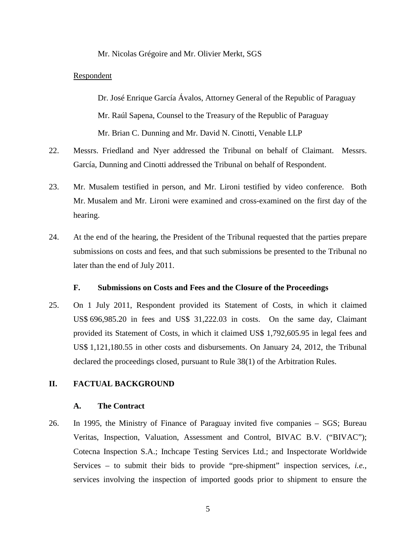#### Mr. Nicolas Grégoire and Mr. Olivier Merkt, SGS

#### Respondent

Dr. José Enrique García Ávalos, Attorney General of the Republic of Paraguay Mr. Raúl Sapena, Counsel to the Treasury of the Republic of Paraguay Mr. Brian C. Dunning and Mr. David N. Cinotti, Venable LLP

- 22. Messrs. Friedland and Nyer addressed the Tribunal on behalf of Claimant. Messrs. García, Dunning and Cinotti addressed the Tribunal on behalf of Respondent.
- 23. Mr. Musalem testified in person, and Mr. Lironi testified by video conference. Both Mr. Musalem and Mr. Lironi were examined and cross-examined on the first day of the hearing.
- 24. At the end of the hearing, the President of the Tribunal requested that the parties prepare submissions on costs and fees, and that such submissions be presented to the Tribunal no later than the end of July 2011.

### **F. Submissions on Costs and Fees and the Closure of the Proceedings**

25. On 1 July 2011, Respondent provided its Statement of Costs, in which it claimed US\$ 696,985.20 in fees and US\$ 31,222.03 in costs. On the same day, Claimant provided its Statement of Costs, in which it claimed US\$ 1,792,605.95 in legal fees and US\$ 1,121,180.55 in other costs and disbursements. On January 24, 2012, the Tribunal declared the proceedings closed, pursuant to Rule 38(1) of the Arbitration Rules.

### **II. FACTUAL BACKGROUND**

#### **A. The Contract**

26. In 1995, the Ministry of Finance of Paraguay invited five companies – SGS; Bureau Veritas, Inspection, Valuation, Assessment and Control, BIVAC B.V. ("BIVAC"); Cotecna Inspection S.A.; Inchcape Testing Services Ltd.; and Inspectorate Worldwide Services – to submit their bids to provide "pre-shipment" inspection services, *i.e.*, services involving the inspection of imported goods prior to shipment to ensure the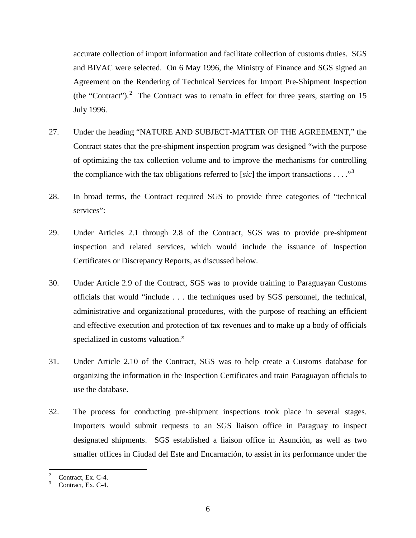accurate collection of import information and facilitate collection of customs duties. SGS and BIVAC were selected. On 6 May 1996, the Ministry of Finance and SGS signed an Agreement on the Rendering of Technical Services for Import Pre-Shipment Inspection (the "Contract").<sup>[2](#page-8-0)</sup> The Contract was to remain in effect for three years, starting on 15 July 1996.

- 27. Under the heading "NATURE AND SUBJECT-MATTER OF THE AGREEMENT," the Contract states that the pre-shipment inspection program was designed "with the purpose of optimizing the tax collection volume and to improve the mechanisms for controlling the compliance with the tax obligations referred to [ $sic$ ] the import transactions . . . .<sup>[3](#page-8-1)3</sup>
- 28. In broad terms, the Contract required SGS to provide three categories of "technical services":
- 29. Under Articles 2.1 through 2.8 of the Contract, SGS was to provide pre-shipment inspection and related services, which would include the issuance of Inspection Certificates or Discrepancy Reports, as discussed below.
- 30. Under Article 2.9 of the Contract, SGS was to provide training to Paraguayan Customs officials that would "include . . . the techniques used by SGS personnel, the technical, administrative and organizational procedures, with the purpose of reaching an efficient and effective execution and protection of tax revenues and to make up a body of officials specialized in customs valuation."
- 31. Under Article 2.10 of the Contract, SGS was to help create a Customs database for organizing the information in the Inspection Certificates and train Paraguayan officials to use the database.
- 32. The process for conducting pre-shipment inspections took place in several stages. Importers would submit requests to an SGS liaison office in Paraguay to inspect designated shipments. SGS established a liaison office in Asunción, as well as two smaller offices in Ciudad del Este and Encarnación, to assist in its performance under the

<span id="page-8-0"></span> $\frac{2}{3}$  Contract, Ex. C-4.<br>Contract, Ex. C-4.

<span id="page-8-1"></span>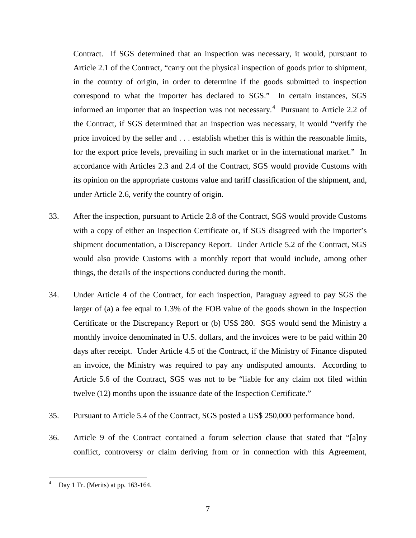Contract. If SGS determined that an inspection was necessary, it would, pursuant to Article 2.1 of the Contract, "carry out the physical inspection of goods prior to shipment, in the country of origin, in order to determine if the goods submitted to inspection correspond to what the importer has declared to SGS." In certain instances, SGS informed an importer that an inspection was not necessary.<sup>[4](#page-9-0)</sup> Pursuant to Article 2.2 of the Contract, if SGS determined that an inspection was necessary, it would "verify the price invoiced by the seller and . . . establish whether this is within the reasonable limits, for the export price levels, prevailing in such market or in the international market." In accordance with Articles 2.3 and 2.4 of the Contract, SGS would provide Customs with its opinion on the appropriate customs value and tariff classification of the shipment, and, under Article 2.6, verify the country of origin.

- 33. After the inspection, pursuant to Article 2.8 of the Contract, SGS would provide Customs with a copy of either an Inspection Certificate or, if SGS disagreed with the importer's shipment documentation, a Discrepancy Report. Under Article 5.2 of the Contract, SGS would also provide Customs with a monthly report that would include, among other things, the details of the inspections conducted during the month.
- 34. Under Article 4 of the Contract, for each inspection, Paraguay agreed to pay SGS the larger of (a) a fee equal to 1.3% of the FOB value of the goods shown in the Inspection Certificate or the Discrepancy Report or (b) US\$ 280. SGS would send the Ministry a monthly invoice denominated in U.S. dollars, and the invoices were to be paid within 20 days after receipt. Under Article 4.5 of the Contract, if the Ministry of Finance disputed an invoice, the Ministry was required to pay any undisputed amounts. According to Article 5.6 of the Contract, SGS was not to be "liable for any claim not filed within twelve (12) months upon the issuance date of the Inspection Certificate."
- 35. Pursuant to Article 5.4 of the Contract, SGS posted a US\$ 250,000 performance bond.
- 36. Article 9 of the Contract contained a forum selection clause that stated that "[a]ny conflict, controversy or claim deriving from or in connection with this Agreement,

<span id="page-9-0"></span>Day 1 Tr. (Merits) at pp. 163-164.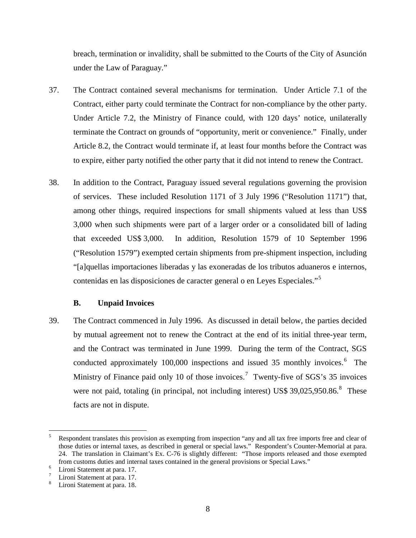breach, termination or invalidity, shall be submitted to the Courts of the City of Asunción under the Law of Paraguay."

- 37. The Contract contained several mechanisms for termination. Under Article 7.1 of the Contract, either party could terminate the Contract for non-compliance by the other party. Under Article 7.2, the Ministry of Finance could, with 120 days' notice, unilaterally terminate the Contract on grounds of "opportunity, merit or convenience." Finally, under Article 8.2, the Contract would terminate if, at least four months before the Contract was to expire, either party notified the other party that it did not intend to renew the Contract.
- 38. In addition to the Contract, Paraguay issued several regulations governing the provision of services. These included Resolution 1171 of 3 July 1996 ("Resolution 1171") that, among other things, required inspections for small shipments valued at less than US\$ 3,000 when such shipments were part of a larger order or a consolidated bill of lading that exceeded US\$ 3,000. In addition, Resolution 1579 of 10 September 1996 ("Resolution 1579") exempted certain shipments from pre-shipment inspection, including "[a]quellas importaciones liberadas y las exoneradas de los tributos aduaneros e internos, contenidas en las disposiciones de caracter general o en Leyes Especiales."[5](#page-10-0)

### **B. Unpaid Invoices**

39. The Contract commenced in July 1996. As discussed in detail below, the parties decided by mutual agreement not to renew the Contract at the end of its initial three-year term, and the Contract was terminated in June 1999. During the term of the Contract, SGS conducted approximately 100,000 inspections and issued 35 monthly invoices.<sup>[6](#page-10-1)</sup> The Ministry of Finance paid only 10 of those invoices.<sup>[7](#page-10-2)</sup> Twenty-five of SGS's 35 invoices were not paid, totaling (in principal, not including interest) US\$ 39,025,950.[8](#page-10-3)6.<sup>8</sup> These facts are not in dispute.

<span id="page-10-0"></span><sup>&</sup>lt;sup>5</sup> Respondent translates this provision as exempting from inspection "any and all tax free imports free and clear of those duties or internal taxes, as described in general or special laws." Respondent's Counter-Memorial at para. 24. The translation in Claimant's Ex. C-76 is slightly different: "Those imports released and those exempted from customs duties and internal taxes contained in the general provisions or Special Laws."<br>
<sup>6</sup> Lironi Statement at para. 17.<br>
<sup>7</sup> Lironi Statement at para. 18.

<span id="page-10-1"></span>

<span id="page-10-2"></span>

<span id="page-10-3"></span>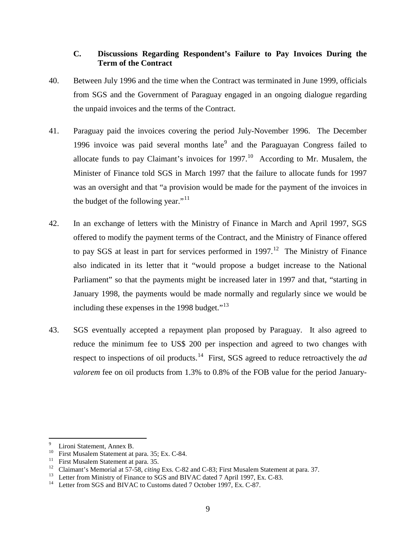# **C. Discussions Regarding Respondent's Failure to Pay Invoices During the Term of the Contract**

- 40. Between July 1996 and the time when the Contract was terminated in June 1999, officials from SGS and the Government of Paraguay engaged in an ongoing dialogue regarding the unpaid invoices and the terms of the Contract.
- 41. Paraguay paid the invoices covering the period July-November 1996. The December 1[9](#page-11-0)96 invoice was paid several months late<sup>9</sup> and the Paraguayan Congress failed to allocate funds to pay Claimant's invoices for  $1997$ .<sup>10</sup> According to Mr. Musalem, the Minister of Finance told SGS in March 1997 that the failure to allocate funds for 1997 was an oversight and that "a provision would be made for the payment of the invoices in the budget of the following year." $11$
- 42. In an exchange of letters with the Ministry of Finance in March and April 1997, SGS offered to modify the payment terms of the Contract, and the Ministry of Finance offered to pay SGS at least in part for services performed in  $1997<sup>12</sup>$  The Ministry of Finance also indicated in its letter that it "would propose a budget increase to the National Parliament" so that the payments might be increased later in 1997 and that, "starting in January 1998, the payments would be made normally and regularly since we would be including these expenses in the 1998 budget."[13](#page-11-4)
- 43. SGS eventually accepted a repayment plan proposed by Paraguay. It also agreed to reduce the minimum fee to US\$ 200 per inspection and agreed to two changes with respect to inspections of oil products.<sup>[14](#page-11-5)</sup> First, SGS agreed to reduce retroactively the *ad valorem* fee on oil products from 1.3% to 0.8% of the FOB value for the period January-

<span id="page-11-3"></span><span id="page-11-2"></span>

<span id="page-11-1"></span><span id="page-11-0"></span><sup>&</sup>lt;sup>9</sup><br>
Iironi Statement, Annex B.<br>
<sup>10</sup><br>
First Musalem Statement at para. 35; Ex. C-84.<br>
<sup>11</sup><br>
Claimant's Memorial at 57-58, *citing* Exs. C-82 and C-83; First Musalem Statement at para. 37.<br>
<sup>12</sup><br>
Letter from Ministry of Fi

<span id="page-11-4"></span>

<span id="page-11-5"></span>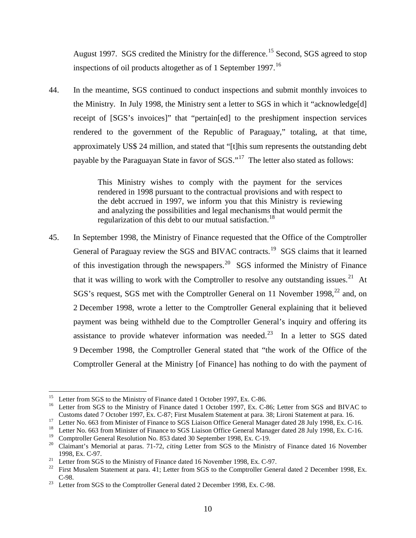August 1997. SGS credited the Ministry for the difference.<sup>[15](#page-12-0)</sup> Second, SGS agreed to stop inspections of oil products altogether as of 1 September 1997.<sup>[16](#page-12-1)</sup>

44. In the meantime, SGS continued to conduct inspections and submit monthly invoices to the Ministry. In July 1998, the Ministry sent a letter to SGS in which it "acknowledge[d] receipt of [SGS's invoices]" that "pertain[ed] to the preshipment inspection services rendered to the government of the Republic of Paraguay," totaling, at that time, approximately US\$ 24 million, and stated that "[t]his sum represents the outstanding debt payable by the Paraguayan State in favor of SGS."<sup>17</sup> The letter also stated as follows:

> This Ministry wishes to comply with the payment for the services rendered in 1998 pursuant to the contractual provisions and with respect to the debt accrued in 1997, we inform you that this Ministry is reviewing and analyzing the possibilities and legal mechanisms that would permit the regularization of this debt to our mutual satisfaction.<sup>[18](#page-12-3)</sup>

45. In September 1998, the Ministry of Finance requested that the Office of the Comptroller General of Paraguay review the SGS and BIVAC contracts.<sup>19</sup> SGS claims that it learned of this investigation through the newspapers.<sup>[20](#page-12-5)</sup> SGS informed the Ministry of Finance that it was willing to work with the Comptroller to resolve any outstanding issues.<sup>21</sup> At SGS's request, SGS met with the Comptroller General on 11 November 1998,<sup>[22](#page-12-7)</sup> and, on 2 December 1998, wrote a letter to the Comptroller General explaining that it believed payment was being withheld due to the Comptroller General's inquiry and offering its assistance to provide whatever information was needed.<sup>23</sup> In a letter to SGS dated 9 December 1998, the Comptroller General stated that "the work of the Office of the Comptroller General at the Ministry [of Finance] has nothing to do with the payment of

<span id="page-12-1"></span><span id="page-12-0"></span><sup>&</sup>lt;sup>15</sup> Letter from SGS to the Ministry of Finance dated 1 October 1997, Ex. C-86. Letter from SGS and BIVAC to<br><sup>16</sup> Letter from SGS to the Ministry of Finance dated 1 October 1997, Ex. C-86; Letter from SGS and BIVAC to<br>Cust

<span id="page-12-3"></span><span id="page-12-2"></span><sup>&</sup>lt;sup>17</sup> Letter No. 663 from Minister of Finance to SGS Liaison Office General Manager dated 28 July 1998, Ex. C-16.<br><sup>18</sup> Letter No. 663 from Minister of Finance to SGS Liaison Office General Manager dated 28 July 1998, Ex. C

<span id="page-12-5"></span><span id="page-12-4"></span><sup>&</sup>lt;sup>20</sup> Claimant's Memorial at paras. 71-72, *citing* Letter from SGS to the Ministry of Finance dated 16 November 1998, Ex. C-97.<br><sup>21</sup> Letter from SGS to the Ministry of Finance dated 16 November 1998, Ex. C-97.<br><sup>22</sup> First Musalem Statement at para. 41; Letter from SGS to the Comptroller General dated 2 December 1998, Ex.

<span id="page-12-6"></span>

<span id="page-12-7"></span>C-98. <sup>23</sup> Letter from SGS to the Comptroller General dated 2 December 1998, Ex. C-98.

<span id="page-12-8"></span>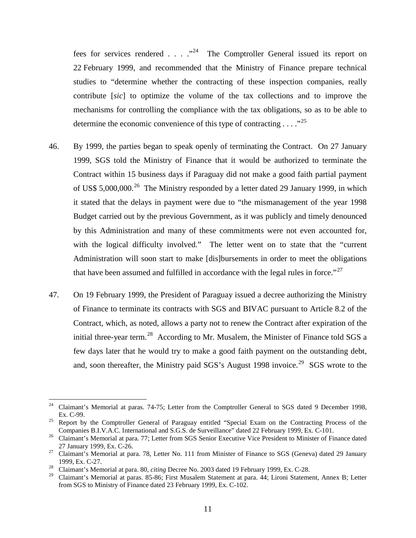fees for services rendered . . . .  $\cdot^{24}$  $\cdot^{24}$  $\cdot^{24}$  The Comptroller General issued its report on 22 February 1999, and recommended that the Ministry of Finance prepare technical studies to "determine whether the contracting of these inspection companies, really contribute [*sic*] to optimize the volume of the tax collections and to improve the mechanisms for controlling the compliance with the tax obligations, so as to be able to determine the economic convenience of this type of contracting  $\dots$ ."<sup>[25](#page-13-1)</sup>

- 46. By 1999, the parties began to speak openly of terminating the Contract. On 27 January 1999, SGS told the Ministry of Finance that it would be authorized to terminate the Contract within 15 business days if Paraguay did not make a good faith partial payment of US\$ 5,000,000.<sup>26</sup> The Ministry responded by a letter dated 29 January 1999, in which it stated that the delays in payment were due to "the mismanagement of the year 1998 Budget carried out by the previous Government, as it was publicly and timely denounced by this Administration and many of these commitments were not even accounted for, with the logical difficulty involved." The letter went on to state that the "current" Administration will soon start to make [dis]bursements in order to meet the obligations that have been assumed and fulfilled in accordance with the legal rules in force."<sup>[27](#page-13-3)</sup>
- 47. On 19 February 1999, the President of Paraguay issued a decree authorizing the Ministry of Finance to terminate its contracts with SGS and BIVAC pursuant to Article 8.2 of the Contract, which, as noted, allows a party not to renew the Contract after expiration of the initial three-year term.<sup>[28](#page-13-4)</sup> According to Mr. Musalem, the Minister of Finance told SGS a few days later that he would try to make a good faith payment on the outstanding debt, and, soon thereafter, the Ministry paid  $SGS$ 's August 1998 invoice.<sup>29</sup> SGS wrote to the

<span id="page-13-0"></span><sup>&</sup>lt;sup>24</sup> Claimant's Memorial at paras. 74-75; Letter from the Comptroller General to SGS dated 9 December 1998, Ex. C-99.

<span id="page-13-1"></span><sup>&</sup>lt;sup>25</sup> Report by the Comptroller General of Paraguay entitled "Special Exam on the Contracting Process of the Companies B.I.V.A.C. International and S.G.S. de Surveillance" dated 22 February 1999, Ex. C-101.

<span id="page-13-2"></span><sup>&</sup>lt;sup>26</sup> Claimant's Memorial at para. 77; Letter from SGS Senior Executive Vice President to Minister of Finance dated 27 January 1999, Ex. C-26.<br><sup>27</sup> Claimant's Memorial at para. 78, Letter No. 111 from Minister of Finance to SGS (Geneva) dated 29 January

<span id="page-13-3"></span><sup>1999,</sup> Ex. C-27. <sup>28</sup> Claimant's Memorial at para. 80, *citing* Decree No. 2003 dated 19 February 1999, Ex. C-28.

<span id="page-13-5"></span><span id="page-13-4"></span>

<sup>29</sup> Claimant's Memorial at paras. 85-86; First Musalem Statement at para. 44; Lironi Statement, Annex B; Letter from SGS to Ministry of Finance dated 23 February 1999, Ex. C-102.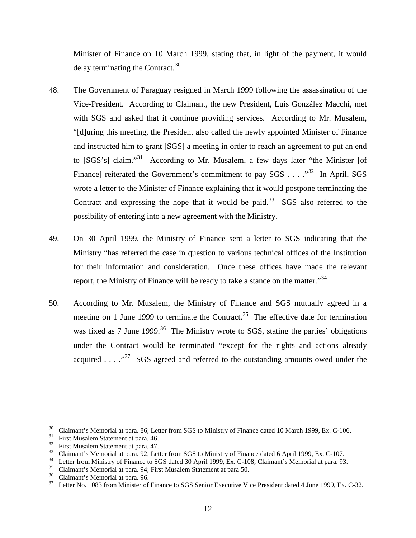Minister of Finance on 10 March 1999, stating that, in light of the payment, it would delay terminating the Contract. $30$ 

- 48. The Government of Paraguay resigned in March 1999 following the assassination of the Vice-President. According to Claimant, the new President, Luis González Macchi, met with SGS and asked that it continue providing services. According to Mr. Musalem, "[d]uring this meeting, the President also called the newly appointed Minister of Finance and instructed him to grant [SGS] a meeting in order to reach an agreement to put an end to  $[SGS's]$  claim."<sup>[31](#page-14-1)</sup> According to Mr. Musalem, a few days later "the Minister [of Finance] reiterated the Government's commitment to pay  $SGS$ ...."<sup>[32](#page-14-2)</sup> In April, SGS wrote a letter to the Minister of Finance explaining that it would postpone terminating the Contract and expressing the hope that it would be paid.<sup>33</sup> SGS also referred to the possibility of entering into a new agreement with the Ministry.
- 49. On 30 April 1999, the Ministry of Finance sent a letter to SGS indicating that the Ministry "has referred the case in question to various technical offices of the Institution for their information and consideration. Once these offices have made the relevant report, the Ministry of Finance will be ready to take a stance on the matter."<sup>[34](#page-14-4)</sup>
- 50. According to Mr. Musalem, the Ministry of Finance and SGS mutually agreed in a meeting on 1 June 1999 to terminate the Contract.<sup>35</sup> The effective date for termination was fixed as 7 June 1999.<sup>[36](#page-14-6)</sup> The Ministry wrote to SGS, stating the parties' obligations under the Contract would be terminated "except for the rights and actions already acquired  $\ldots$   $\cdot$   $\cdot$  SGS agreed and referred to the outstanding amounts owed under the

<span id="page-14-1"></span><span id="page-14-0"></span><sup>&</sup>lt;sup>30</sup> Claimant's Memorial at para. 86; Letter from SGS to Ministry of Finance dated 10 March 1999, Ex. C-106.<br><sup>31</sup> First Musalem Statement at para. 46.<br><sup>32</sup> First Musalem Statement at para. 47.<br><sup>33</sup> Claimant's Memorial at

<span id="page-14-2"></span>

<span id="page-14-3"></span>

<span id="page-14-4"></span>

<span id="page-14-5"></span>

<span id="page-14-6"></span>

<span id="page-14-7"></span>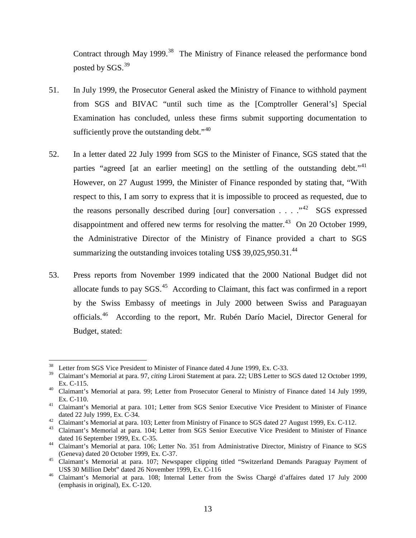Contract through May 1999.<sup>38</sup> The Ministry of Finance released the performance bond posted by  $SGS$ .<sup>[39](#page-15-1)</sup>

- 51. In July 1999, the Prosecutor General asked the Ministry of Finance to withhold payment from SGS and BIVAC "until such time as the [Comptroller General's] Special Examination has concluded, unless these firms submit supporting documentation to sufficiently prove the outstanding debt." $40$
- 52. In a letter dated 22 July 1999 from SGS to the Minister of Finance, SGS stated that the parties "agreed [at an earlier meeting] on the settling of the outstanding debt."<sup>[41](#page-15-3)</sup> However, on 27 August 1999, the Minister of Finance responded by stating that, "With respect to this, I am sorry to express that it is impossible to proceed as requested, due to the reasons personally described during [our] conversation  $\ldots$  . . ..<sup>42</sup> SGS expressed disappointment and offered new terms for resolving the matter.<sup>[43](#page-15-5)</sup> On 20 October 1999, the Administrative Director of the Ministry of Finance provided a chart to SGS summarizing the outstanding invoices totaling US\$  $39,025,950.31$ .<sup>44</sup>
- 53. Press reports from November 1999 indicated that the 2000 National Budget did not allocate funds to pay  $SGS$ .<sup>45</sup> According to Claimant, this fact was confirmed in a report by the Swiss Embassy of meetings in July 2000 between Swiss and Paraguayan officials.<sup>[46](#page-15-8)</sup> According to the report, Mr. Rubén Darío Maciel, Director General for Budget, stated:

<span id="page-15-0"></span><sup>&</sup>lt;sup>38</sup> Letter from SGS Vice President to Minister of Finance dated 4 June 1999, Ex. C-33.

<span id="page-15-1"></span><sup>39</sup> Claimant's Memorial at para. 97, *citing* Lironi Statement at para. 22; UBS Letter to SGS dated 12 October 1999,

<span id="page-15-2"></span>Ex. C-115. <sup>40</sup> Claimant's Memorial at para. 99; Letter from Prosecutor General to Ministry of Finance dated 14 July 1999, Ex. C-110. <sup>41</sup> Claimant's Memorial at para. 101; Letter from SGS Senior Executive Vice President to Minister of Finance

<span id="page-15-3"></span>dated 22 July 1999, Ex. C-34.<br><sup>42</sup> Claimant's Memorial at para. 103; Letter from Ministry of Finance to SGS dated 27 August 1999, Ex. C-112.<br><sup>43</sup> Claimant's Memorial at para. 104; Letter from SGS Senior Executive Vice Pres

<span id="page-15-4"></span>

<span id="page-15-6"></span><span id="page-15-5"></span>dated 16 September 1999, Ex. C-35.<br>
<sup>44</sup> Claimant's Memorial at para. 106; Letter No. 351 from Administrative Director, Ministry of Finance to SGS

<span id="page-15-7"></span><sup>(</sup>Geneva) dated 20 October 1999, Ex. C-37. <sup>45</sup> Claimant's Memorial at para. 107; Newspaper clipping titled "Switzerland Demands Paraguay Payment of

<span id="page-15-8"></span>US\$ 30 Million Debt" dated 26 November 1999, Ex. C-116 <sup>46</sup> Claimant's Memorial at para. 108; Internal Letter from the Swiss Chargé d'affaires dated 17 July 2000 (emphasis in original), Ex. C-120.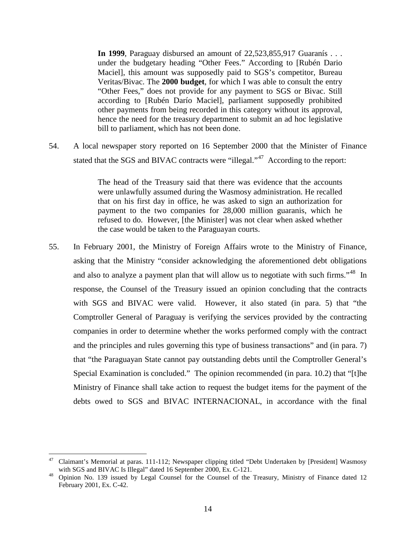**In 1999**, Paraguay disbursed an amount of 22,523,855,917 Guaranís . . . under the budgetary heading "Other Fees." According to [Rubén Dario Maciel], this amount was supposedly paid to SGS's competitor, Bureau Veritas/Bivac. The **2000 budget**, for which I was able to consult the entry "Other Fees," does not provide for any payment to SGS or Bivac. Still according to [Rubén Darío Maciel], parliament supposedly prohibited other payments from being recorded in this category without its approval, hence the need for the treasury department to submit an ad hoc legislative bill to parliament, which has not been done.

54. A local newspaper story reported on 16 September 2000 that the Minister of Finance stated that the SGS and BIVAC contracts were "illegal."<sup>[47](#page-16-0)</sup> According to the report:

> The head of the Treasury said that there was evidence that the accounts were unlawfully assumed during the Wasmosy administration. He recalled that on his first day in office, he was asked to sign an authorization for payment to the two companies for 28,000 million guaranis, which he refused to do. However, [the Minister] was not clear when asked whether the case would be taken to the Paraguayan courts.

55. In February 2001, the Ministry of Foreign Affairs wrote to the Ministry of Finance, asking that the Ministry "consider acknowledging the aforementioned debt obligations and also to analyze a payment plan that will allow us to negotiate with such firms."<sup>[48](#page-16-1)</sup> In response, the Counsel of the Treasury issued an opinion concluding that the contracts with SGS and BIVAC were valid. However, it also stated (in para. 5) that "the Comptroller General of Paraguay is verifying the services provided by the contracting companies in order to determine whether the works performed comply with the contract and the principles and rules governing this type of business transactions" and (in para. 7) that "the Paraguayan State cannot pay outstanding debts until the Comptroller General's Special Examination is concluded." The opinion recommended (in para. 10.2) that "[t]he Ministry of Finance shall take action to request the budget items for the payment of the debts owed to SGS and BIVAC INTERNACIONAL, in accordance with the final

<span id="page-16-0"></span><sup>&</sup>lt;sup>47</sup> Claimant's Memorial at paras. 111-112; Newspaper clipping titled "Debt Undertaken by [President] Wasmosy

<span id="page-16-1"></span>with SGS and BIVAC Is Illegal" dated 16 September 2000, Ex. C-121.<br><sup>48</sup> Opinion No. 139 issued by Legal Counsel for the Counsel of the Treasury, Ministry of Finance dated 12 February 2001, Ex. C-42.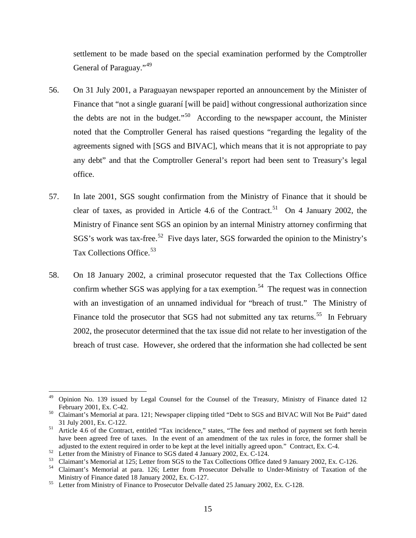settlement to be made based on the special examination performed by the Comptroller General of Paraguay."<sup>[49](#page-17-0)</sup>

- 56. On 31 July 2001, a Paraguayan newspaper reported an announcement by the Minister of Finance that "not a single guaraní [will be paid] without congressional authorization since the debts are not in the budget."<sup>[50](#page-17-1)</sup> According to the newspaper account, the Minister noted that the Comptroller General has raised questions "regarding the legality of the agreements signed with [SGS and BIVAC], which means that it is not appropriate to pay any debt" and that the Comptroller General's report had been sent to Treasury's legal office.
- 57. In late 2001, SGS sought confirmation from the Ministry of Finance that it should be clear of taxes, as provided in Article 4.6 of the Contract.<sup>[51](#page-17-2)</sup> On 4 January 2002, the Ministry of Finance sent SGS an opinion by an internal Ministry attorney confirming that SGS's work was tax-free.<sup>52</sup> Five days later, SGS forwarded the opinion to the Ministry's Tax Collections Office.<sup>53</sup>
- 58. On 18 January 2002, a criminal prosecutor requested that the Tax Collections Office confirm whether SGS was applying for a tax exemption.<sup>54</sup> The request was in connection with an investigation of an unnamed individual for "breach of trust." The Ministry of Finance told the prosecutor that SGS had not submitted any tax returns.<sup>[55](#page-17-6)</sup> In February 2002, the prosecutor determined that the tax issue did not relate to her investigation of the breach of trust case. However, she ordered that the information she had collected be sent

<span id="page-17-0"></span><sup>&</sup>lt;sup>49</sup> Opinion No. 139 issued by Legal Counsel for the Counsel of the Treasury, Ministry of Finance dated 12 February 2001, Ex. C-42.

<span id="page-17-1"></span><sup>&</sup>lt;sup>50</sup> Claimant's Memorial at para. 121; Newspaper clipping titled "Debt to SGS and BIVAC Will Not Be Paid" dated 31 July 2001, Ex. C-122.<br><sup>51</sup> Article 4.6 of the Contract, entitled "Tax incidence," states, "The fees and method of payment set forth herein

<span id="page-17-2"></span>have been agreed free of taxes. In the event of an amendment of the tax rules in force, the former shall be

<span id="page-17-5"></span><span id="page-17-4"></span>

<span id="page-17-3"></span>adjusted to the extent required in order to be kept at the level initially agreed upon." Contract, Ex. C-4.<br>
<sup>52</sup> Letter from the Ministry of Finance to SGS dated 4 January 2002, Ex. C-124.<br>
Claimant's Memorial at 125; Let

<span id="page-17-6"></span><sup>&</sup>lt;sup>55</sup> Letter from Ministry of Finance to Prosecutor Delvalle dated 25 January 2002, Ex. C-128.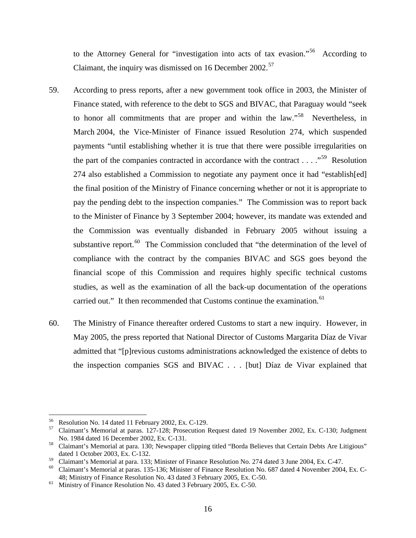to the Attorney General for "investigation into acts of tax evasion."<sup>56</sup> According to Claimant, the inquiry was dismissed on 16 December 2002.<sup>[57](#page-18-1)</sup>

- 59. According to press reports, after a new government took office in 2003, the Minister of Finance stated, with reference to the debt to SGS and BIVAC, that Paraguay would "seek to honor all commitments that are proper and within the law."<sup>58</sup> Nevertheless, in March 2004, the Vice-Minister of Finance issued Resolution 274, which suspended payments "until establishing whether it is true that there were possible irregularities on the part of the companies contracted in accordance with the contract  $\dots$  . . ... "<sup>[59](#page-18-3)</sup> Resolution 274 also established a Commission to negotiate any payment once it had "establish[ed] the final position of the Ministry of Finance concerning whether or not it is appropriate to pay the pending debt to the inspection companies." The Commission was to report back to the Minister of Finance by 3 September 2004; however, its mandate was extended and the Commission was eventually disbanded in February 2005 without issuing a substantive report. $^{60}$  $^{60}$  $^{60}$  The Commission concluded that "the determination of the level of compliance with the contract by the companies BIVAC and SGS goes beyond the financial scope of this Commission and requires highly specific technical customs studies, as well as the examination of all the back-up documentation of the operations carried out." It then recommended that Customs continue the examination.<sup>[61](#page-18-5)</sup>
- 60. The Ministry of Finance thereafter ordered Customs to start a new inquiry. However, in May 2005, the press reported that National Director of Customs Margarita Díaz de Vivar admitted that "[p]revious customs administrations acknowledged the existence of debts to the inspection companies SGS and BIVAC . . . [but] Díaz de Vivar explained that

<span id="page-18-1"></span><span id="page-18-0"></span><sup>&</sup>lt;sup>56</sup> Resolution No. 14 dated 11 February 2002, Ex. C-129.<br><sup>57</sup> Claimant's Memorial at paras. 127-128; Prosecution Request dated 19 November 2002, Ex. C-130; Judgment

<span id="page-18-2"></span>No. 1984 dated 16 December 2002, Ex. C-131.<br><sup>58</sup> Claimant's Memorial at para. 130; Newspaper clipping titled "Borda Believes that Certain Debts Are Litigious" dated 1 October 2003, Ex. C-132.

<span id="page-18-4"></span>

<span id="page-18-3"></span><sup>&</sup>lt;sup>59</sup> Claimant's Memorial at para. 133; Minister of Finance Resolution No. 274 dated 3 June 2004, Ex. C-47.<br><sup>60</sup> Claimant's Memorial at paras. 135-136; Minister of Finance Resolution No. 687 dated 4 November 2004, Ex. C-48; Ministry of Finance Resolution No. 43 dated 3 February 2005, Ex. C-50. <sup>61</sup> Ministry of Finance Resolution No. 43 dated 3 February 2005, Ex. C-50.

<span id="page-18-5"></span>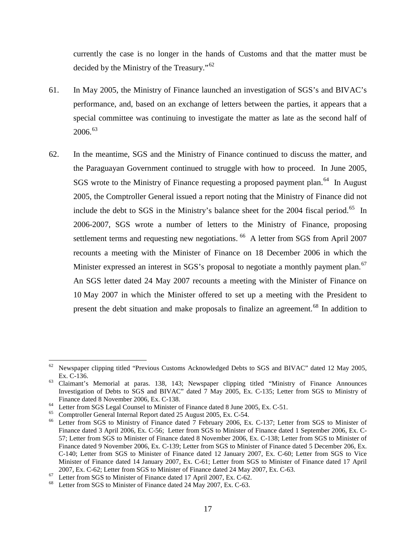currently the case is no longer in the hands of Customs and that the matter must be decided by the Ministry of the Treasury."<sup>[62](#page-19-0)</sup>

- 61. In May 2005, the Ministry of Finance launched an investigation of SGS's and BIVAC's performance, and, based on an exchange of letters between the parties, it appears that a special committee was continuing to investigate the matter as late as the second half of 2006.[63](#page-19-1)
- 62. In the meantime, SGS and the Ministry of Finance continued to discuss the matter, and the Paraguayan Government continued to struggle with how to proceed. In June 2005, SGS wrote to the Ministry of Finance requesting a proposed payment plan.<sup>[64](#page-19-2)</sup> In August 2005, the Comptroller General issued a report noting that the Ministry of Finance did not include the debt to SGS in the Ministry's balance sheet for the 2004 fiscal period.<sup>[65](#page-19-3)</sup> In 2006-2007, SGS wrote a number of letters to the Ministry of Finance, proposing settlement terms and requesting new negotiations. <sup>[66](#page-19-4)</sup> A letter from SGS from April 2007 recounts a meeting with the Minister of Finance on 18 December 2006 in which the Minister expressed an interest in SGS's proposal to negotiate a monthly payment plan.<sup>[67](#page-19-5)</sup> An SGS letter dated 24 May 2007 recounts a meeting with the Minister of Finance on 10 May 2007 in which the Minister offered to set up a meeting with the President to present the debt situation and make proposals to finalize an agreement.<sup>[68](#page-19-6)</sup> In addition to

<span id="page-19-0"></span> $62$  Newspaper clipping titled "Previous Customs Acknowledged Debts to SGS and BIVAC" dated 12 May 2005,

<span id="page-19-1"></span>Ex. C-136. <sup>63</sup> Claimant's Memorial at paras. 138, 143; Newspaper clipping titled "Ministry of Finance Announces Investigation of Debts to SGS and BIVAC" dated 7 May 2005, Ex. C-135; Letter from SGS to Ministry of Finance dated 8 November 2006, Ex. C-138.<br>
<sup>64</sup> Letter from SGS Legal Counsel to Minister of Finance dated 8 June 2005, Ex. C-51.<br>
<sup>65</sup> Comptroller General Internal Report dated 25 August 2005, Ex. C-54.<br>
<sup>66</sup> Letter from

<span id="page-19-2"></span>

<span id="page-19-3"></span>

<span id="page-19-4"></span>Finance dated 3 April 2006, Ex. C-56; Letter from SGS to Minister of Finance dated 1 September 2006, Ex. C-57; Letter from SGS to Minister of Finance dated 8 November 2006, Ex. C-138; Letter from SGS to Minister of Finance dated 9 November 2006, Ex. C-139; Letter from SGS to Minister of Finance dated 5 December 206, Ex. C-140; Letter from SGS to Minister of Finance dated 12 January 2007, Ex. C-60; Letter from SGS to Vice Minister of Finance dated 14 January 2007, Ex. C-61; Letter from SGS to Minister of Finance dated 17 April 2007, Ex. C-62; Letter from SGS to Minister of Finance dated 24 May 2007, Ex. C-63.<br>
Letter from SGS to Minister of Finance dated 17 April 2007, Ex. C-62.<br>
<sup>67</sup> Letter from SGS to Minister of Finance dated 24 May 2007, Ex.

<span id="page-19-5"></span>

<span id="page-19-6"></span>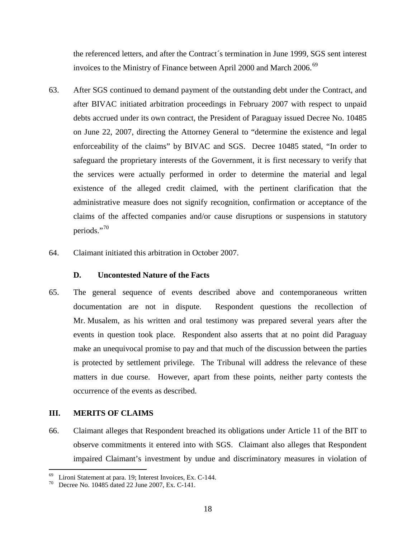the referenced letters, and after the Contract´s termination in June 1999, SGS sent interest invoices to the Ministry of Finance between April 2000 and March 2006.<sup>[69](#page-20-0)</sup>

- 63. After SGS continued to demand payment of the outstanding debt under the Contract, and after BIVAC initiated arbitration proceedings in February 2007 with respect to unpaid debts accrued under its own contract, the President of Paraguay issued Decree No. 10485 on June 22, 2007, directing the Attorney General to "determine the existence and legal enforceability of the claims" by BIVAC and SGS. Decree 10485 stated, "In order to safeguard the proprietary interests of the Government, it is first necessary to verify that the services were actually performed in order to determine the material and legal existence of the alleged credit claimed, with the pertinent clarification that the administrative measure does not signify recognition, confirmation or acceptance of the claims of the affected companies and/or cause disruptions or suspensions in statutory periods."[70](#page-20-1)
- 64. Claimant initiated this arbitration in October 2007.

### **D. Uncontested Nature of the Facts**

65. The general sequence of events described above and contemporaneous written documentation are not in dispute. Respondent questions the recollection of Mr. Musalem, as his written and oral testimony was prepared several years after the events in question took place. Respondent also asserts that at no point did Paraguay make an unequivocal promise to pay and that much of the discussion between the parties is protected by settlement privilege. The Tribunal will address the relevance of these matters in due course. However, apart from these points, neither party contests the occurrence of the events as described.

### **III. MERITS OF CLAIMS**

66. Claimant alleges that Respondent breached its obligations under Article 11 of the BIT to observe commitments it entered into with SGS. Claimant also alleges that Respondent impaired Claimant's investment by undue and discriminatory measures in violation of

<span id="page-20-1"></span><span id="page-20-0"></span><sup>&</sup>lt;sup>69</sup> Lironi Statement at para. 19; Interest Invoices, Ex. C-144.<br><sup>70</sup> Decree No. 10485 dated 22 June 2007, Ex. C-141.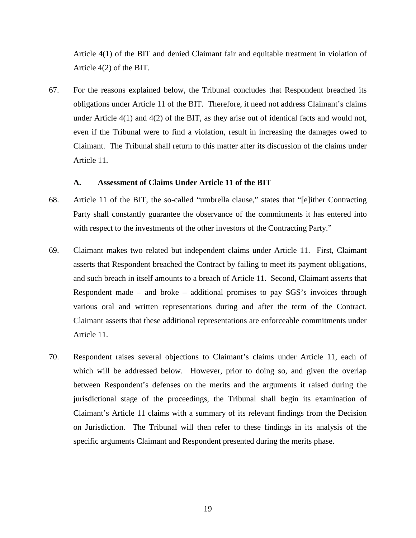Article 4(1) of the BIT and denied Claimant fair and equitable treatment in violation of Article 4(2) of the BIT.

67. For the reasons explained below, the Tribunal concludes that Respondent breached its obligations under Article 11 of the BIT. Therefore, it need not address Claimant's claims under Article 4(1) and 4(2) of the BIT, as they arise out of identical facts and would not, even if the Tribunal were to find a violation, result in increasing the damages owed to Claimant. The Tribunal shall return to this matter after its discussion of the claims under Article 11.

#### **A. Assessment of Claims Under Article 11 of the BIT**

- 68. Article 11 of the BIT, the so-called "umbrella clause," states that "[e]ither Contracting Party shall constantly guarantee the observance of the commitments it has entered into with respect to the investments of the other investors of the Contracting Party."
- 69. Claimant makes two related but independent claims under Article 11. First, Claimant asserts that Respondent breached the Contract by failing to meet its payment obligations, and such breach in itself amounts to a breach of Article 11. Second, Claimant asserts that Respondent made – and broke – additional promises to pay SGS's invoices through various oral and written representations during and after the term of the Contract. Claimant asserts that these additional representations are enforceable commitments under Article 11.
- 70. Respondent raises several objections to Claimant's claims under Article 11, each of which will be addressed below. However, prior to doing so, and given the overlap between Respondent's defenses on the merits and the arguments it raised during the jurisdictional stage of the proceedings, the Tribunal shall begin its examination of Claimant's Article 11 claims with a summary of its relevant findings from the Decision on Jurisdiction. The Tribunal will then refer to these findings in its analysis of the specific arguments Claimant and Respondent presented during the merits phase.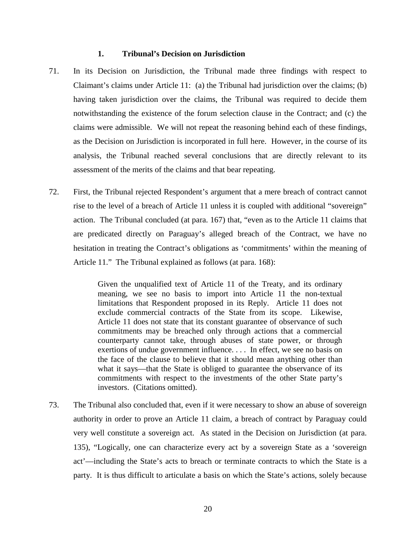#### **1. Tribunal's Decision on Jurisdiction**

- 71. In its Decision on Jurisdiction, the Tribunal made three findings with respect to Claimant's claims under Article 11: (a) the Tribunal had jurisdiction over the claims; (b) having taken jurisdiction over the claims, the Tribunal was required to decide them notwithstanding the existence of the forum selection clause in the Contract; and (c) the claims were admissible. We will not repeat the reasoning behind each of these findings, as the Decision on Jurisdiction is incorporated in full here. However, in the course of its analysis, the Tribunal reached several conclusions that are directly relevant to its assessment of the merits of the claims and that bear repeating.
- 72. First, the Tribunal rejected Respondent's argument that a mere breach of contract cannot rise to the level of a breach of Article 11 unless it is coupled with additional "sovereign" action. The Tribunal concluded (at para. 167) that, "even as to the Article 11 claims that are predicated directly on Paraguay's alleged breach of the Contract, we have no hesitation in treating the Contract's obligations as 'commitments' within the meaning of Article 11." The Tribunal explained as follows (at para. 168):

Given the unqualified text of Article 11 of the Treaty, and its ordinary meaning, we see no basis to import into Article 11 the non-textual limitations that Respondent proposed in its Reply. Article 11 does not exclude commercial contracts of the State from its scope. Likewise, Article 11 does not state that its constant guarantee of observance of such commitments may be breached only through actions that a commercial counterparty cannot take, through abuses of state power, or through exertions of undue government influence. . . . In effect, we see no basis on the face of the clause to believe that it should mean anything other than what it says—that the State is obliged to guarantee the observance of its commitments with respect to the investments of the other State party's investors. (Citations omitted).

73. The Tribunal also concluded that, even if it were necessary to show an abuse of sovereign authority in order to prove an Article 11 claim, a breach of contract by Paraguay could very well constitute a sovereign act. As stated in the Decision on Jurisdiction (at para. 135), "Logically, one can characterize every act by a sovereign State as a 'sovereign act'—including the State's acts to breach or terminate contracts to which the State is a party. It is thus difficult to articulate a basis on which the State's actions, solely because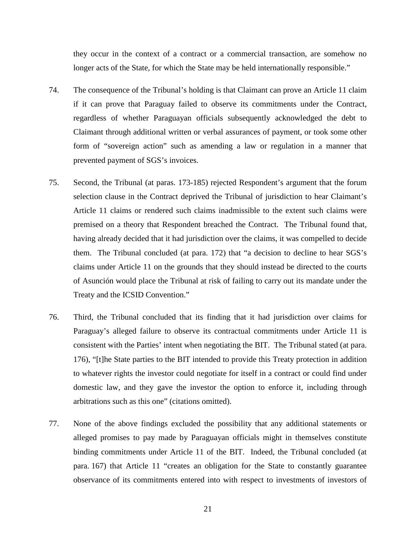they occur in the context of a contract or a commercial transaction, are somehow no longer acts of the State, for which the State may be held internationally responsible."

- 74. The consequence of the Tribunal's holding is that Claimant can prove an Article 11 claim if it can prove that Paraguay failed to observe its commitments under the Contract, regardless of whether Paraguayan officials subsequently acknowledged the debt to Claimant through additional written or verbal assurances of payment, or took some other form of "sovereign action" such as amending a law or regulation in a manner that prevented payment of SGS's invoices.
- 75. Second, the Tribunal (at paras. 173-185) rejected Respondent's argument that the forum selection clause in the Contract deprived the Tribunal of jurisdiction to hear Claimant's Article 11 claims or rendered such claims inadmissible to the extent such claims were premised on a theory that Respondent breached the Contract. The Tribunal found that, having already decided that it had jurisdiction over the claims, it was compelled to decide them. The Tribunal concluded (at para. 172) that "a decision to decline to hear SGS's claims under Article 11 on the grounds that they should instead be directed to the courts of Asunción would place the Tribunal at risk of failing to carry out its mandate under the Treaty and the ICSID Convention."
- 76. Third, the Tribunal concluded that its finding that it had jurisdiction over claims for Paraguay's alleged failure to observe its contractual commitments under Article 11 is consistent with the Parties' intent when negotiating the BIT. The Tribunal stated (at para. 176), "[t]he State parties to the BIT intended to provide this Treaty protection in addition to whatever rights the investor could negotiate for itself in a contract or could find under domestic law, and they gave the investor the option to enforce it, including through arbitrations such as this one" (citations omitted).
- 77. None of the above findings excluded the possibility that any additional statements or alleged promises to pay made by Paraguayan officials might in themselves constitute binding commitments under Article 11 of the BIT. Indeed, the Tribunal concluded (at para. 167) that Article 11 "creates an obligation for the State to constantly guarantee observance of its commitments entered into with respect to investments of investors of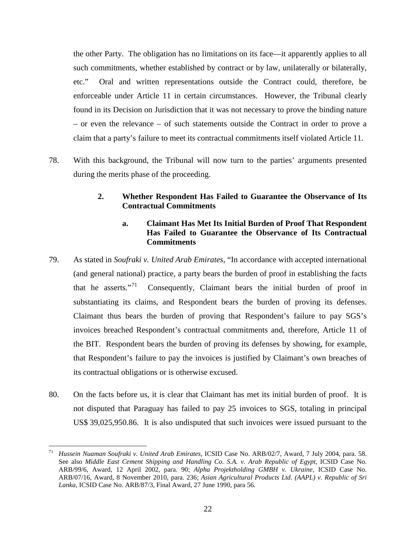the other Party. The obligation has no limitations on its face—it apparently applies to all such commitments, whether established by contract or by law, unilaterally or bilaterally, etc." Oral and written representations outside the Contract could, therefore, be enforceable under Article 11 in certain circumstances. However, the Tribunal clearly found in its Decision on Jurisdiction that it was not necessary to prove the binding nature – or even the relevance – of such statements outside the Contract in order to prove a claim that a party's failure to meet its contractual commitments itself violated Article 11.

78. With this background, the Tribunal will now turn to the parties' arguments presented during the merits phase of the proceeding.

# **2. Whether Respondent Has Failed to Guarantee the Observance of Its Contractual Commitments**

# **a. Claimant Has Met Its Initial Burden of Proof That Respondent Has Failed to Guarantee the Observance of Its Contractual Commitments**

- 79. As stated in *Soufraki v. United Arab Emirates*, "In accordance with accepted international (and general national) practice, a party bears the burden of proof in establishing the facts that he asserts."<sup>[71](#page-24-0)</sup> Consequently, Claimant bears the initial burden of proof in substantiating its claims, and Respondent bears the burden of proving its defenses. Claimant thus bears the burden of proving that Respondent's failure to pay SGS's invoices breached Respondent's contractual commitments and, therefore, Article 11 of the BIT. Respondent bears the burden of proving its defenses by showing, for example, that Respondent's failure to pay the invoices is justified by Claimant's own breaches of its contractual obligations or is otherwise excused.
- 80. On the facts before us, it is clear that Claimant has met its initial burden of proof. It is not disputed that Paraguay has failed to pay 25 invoices to SGS, totaling in principal US\$ 39,025,950.86. It is also undisputed that such invoices were issued pursuant to the

<span id="page-24-0"></span> <sup>71</sup> *Hussein Nuaman Soufraki v. United Arab Emirates*, ICSID Case No. ARB/02/7, Award, 7 July 2004, para. 58. See also *Middle East Cement Shipping and Handling Co. S.A. v. Arab Republic of Egypt*, ICSID Case No. ARB/99/6, Award, 12 April 2002, para. 90; *Alpha Projektholding GMBH v. Ukraine*, ICSID Case No. ARB/07/16, Award, 8 November 2010, para. 236; *Asian Agricultural Products Ltd. (AAPL) v. Republic of Sri Lanka*, ICSID Case No. ARB/87/3, Final Award, 27 June 1990, para 56.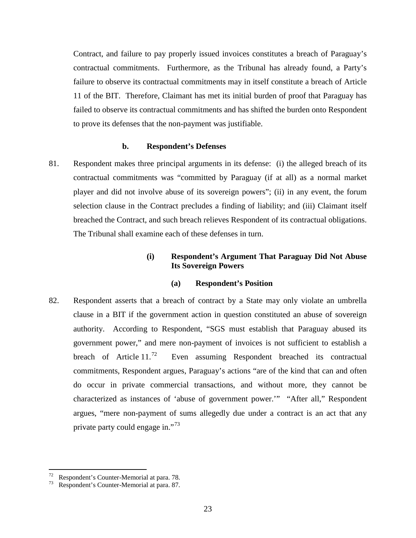Contract, and failure to pay properly issued invoices constitutes a breach of Paraguay's contractual commitments. Furthermore, as the Tribunal has already found, a Party's failure to observe its contractual commitments may in itself constitute a breach of Article 11 of the BIT. Therefore, Claimant has met its initial burden of proof that Paraguay has failed to observe its contractual commitments and has shifted the burden onto Respondent to prove its defenses that the non-payment was justifiable.

#### **b. Respondent's Defenses**

81. Respondent makes three principal arguments in its defense: (i) the alleged breach of its contractual commitments was "committed by Paraguay (if at all) as a normal market player and did not involve abuse of its sovereign powers"; (ii) in any event, the forum selection clause in the Contract precludes a finding of liability; and (iii) Claimant itself breached the Contract, and such breach relieves Respondent of its contractual obligations. The Tribunal shall examine each of these defenses in turn.

### **(i) Respondent's Argument That Paraguay Did Not Abuse Its Sovereign Powers**

#### **(a) Respondent's Position**

82. Respondent asserts that a breach of contract by a State may only violate an umbrella clause in a BIT if the government action in question constituted an abuse of sovereign authority. According to Respondent, "SGS must establish that Paraguay abused its government power," and mere non-payment of invoices is not sufficient to establish a breach of Article  $11.^{72}$  $11.^{72}$  $11.^{72}$  Even assuming Respondent breached its contractual commitments, Respondent argues, Paraguay's actions "are of the kind that can and often do occur in private commercial transactions, and without more, they cannot be characterized as instances of 'abuse of government power.'" "After all," Respondent argues, "mere non-payment of sums allegedly due under a contract is an act that any private party could engage in."<sup>[73](#page-25-1)</sup>

<span id="page-25-0"></span><sup>&</sup>lt;sup>72</sup> Respondent's Counter-Memorial at para. 78.<br><sup>73</sup> Respondent's Counter-Memorial at para. 87.

<span id="page-25-1"></span>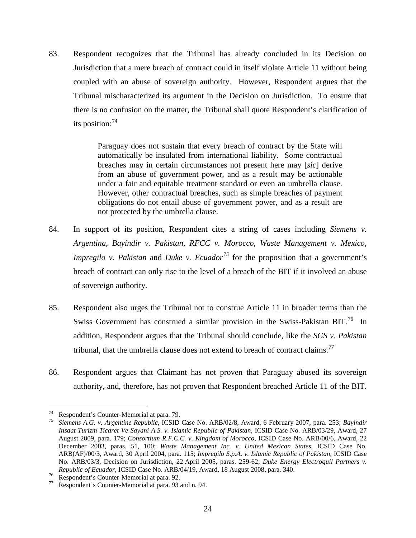83. Respondent recognizes that the Tribunal has already concluded in its Decision on Jurisdiction that a mere breach of contract could in itself violate Article 11 without being coupled with an abuse of sovereign authority. However, Respondent argues that the Tribunal mischaracterized its argument in the Decision on Jurisdiction. To ensure that there is no confusion on the matter, the Tribunal shall quote Respondent's clarification of its position: $74$ 

> Paraguay does not sustain that every breach of contract by the State will automatically be insulated from international liability. Some contractual breaches may in certain circumstances not present here may [*sic*] derive from an abuse of government power, and as a result may be actionable under a fair and equitable treatment standard or even an umbrella clause. However, other contractual breaches, such as simple breaches of payment obligations do not entail abuse of government power, and as a result are not protected by the umbrella clause.

- 84. In support of its position, Respondent cites a string of cases including *Siemens v. Argentina*, *Bayindir v. Pakistan*, *RFCC v. Morocco*, *Waste Management v. Mexico*, *Impregilo v. Pakistan* and *Duke v. Ecuador*<sup>[75](#page-26-1)</sup> for the proposition that a government's breach of contract can only rise to the level of a breach of the BIT if it involved an abuse of sovereign authority.
- 85. Respondent also urges the Tribunal not to construe Article 11 in broader terms than the Swiss Government has construed a similar provision in the Swiss-Pakistan BIT.<sup>[76](#page-26-2)</sup> In addition, Respondent argues that the Tribunal should conclude, like the *SGS v. Pakistan* tribunal, that the umbrella clause does not extend to breach of contract claims.<sup>[77](#page-26-3)</sup>
- 86. Respondent argues that Claimant has not proven that Paraguay abused its sovereign authority, and, therefore, has not proven that Respondent breached Article 11 of the BIT.

<span id="page-26-1"></span><span id="page-26-0"></span><sup>74</sup> Respondent's Counter-Memorial at para. 79. <sup>75</sup> *Siemens A.G. v. Argentine Republic*, ICSID Case No. ARB/02/8, Award, 6 February 2007, para. 253; *Bayindir Insaat Turizm Ticaret Ve Sayani A.S. v. Islamic Republic of Pakistan,* ICSID Case No. ARB/03/29, Award, 27 August 2009, para. 179; *Consortium R.F.C.C. v. Kingdom of Morocco*, ICSID Case No. ARB/00/6, Award, 22 December 2003, paras. 51, 100; *Waste Management Inc. v. United Mexican States*, ICSID Case No. ARB(AF)/00/3, Award, 30 April 2004, para. 115; *Impregilo S.p.A. v. Islamic Republic of Pakistan*, ICSID Case No. ARB/03/3, Decision on Jurisdiction, 22 April 2005, paras. 259-62; *Duke Energy Electroquil Partners v. Republic of Ecuador*, ICSID Case No. ARB/04/19, Award, 18 August 2008, para. 340.<br><sup>76</sup> Respondent's Counter-Memorial at para. 92.<br><sup>77</sup> Respondent's Counter-Memorial at para. 93 and n. 94.

<span id="page-26-2"></span>

<span id="page-26-3"></span>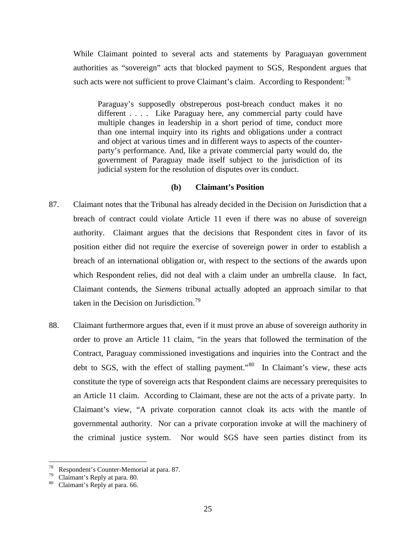While Claimant pointed to several acts and statements by Paraguayan government authorities as "sovereign" acts that blocked payment to SGS, Respondent argues that such acts were not sufficient to prove Claimant's claim. According to Respondent:<sup>[78](#page-27-0)</sup>

Paraguay's supposedly obstreperous post-breach conduct makes it no different . . . . Like Paraguay here, any commercial party could have multiple changes in leadership in a short period of time, conduct more than one internal inquiry into its rights and obligations under a contract and object at various times and in different ways to aspects of the counterparty's performance. And, like a private commercial party would do, the government of Paraguay made itself subject to the jurisdiction of its judicial system for the resolution of disputes over its conduct.

### **(b) Claimant's Position**

- 87. Claimant notes that the Tribunal has already decided in the Decision on Jurisdiction that a breach of contract could violate Article 11 even if there was no abuse of sovereign authority. Claimant argues that the decisions that Respondent cites in favor of its position either did not require the exercise of sovereign power in order to establish a breach of an international obligation or, with respect to the sections of the awards upon which Respondent relies, did not deal with a claim under an umbrella clause. In fact, Claimant contends, the *Siemens* tribunal actually adopted an approach similar to that taken in the Decision on Jurisdiction.<sup>[79](#page-27-1)</sup>
- 88. Claimant furthermore argues that, even if it must prove an abuse of sovereign authority in order to prove an Article 11 claim, "in the years that followed the termination of the Contract, Paraguay commissioned investigations and inquiries into the Contract and the debt to SGS, with the effect of stalling payment."<sup>[80](#page-27-2)</sup> In Claimant's view, these acts constitute the type of sovereign acts that Respondent claims are necessary prerequisites to an Article 11 claim. According to Claimant, these are not the acts of a private party. In Claimant's view, "A private corporation cannot cloak its acts with the mantle of governmental authority. Nor can a private corporation invoke at will the machinery of the criminal justice system. Nor would SGS have seen parties distinct from its

<span id="page-27-1"></span><span id="page-27-0"></span><sup>&</sup>lt;sup>78</sup> Respondent's Counter-Memorial at para. 87.<br><sup>79</sup> Claimant's Reply at para. 80.<br><sup>80</sup> Claimant's Reply at para. 66.

<span id="page-27-2"></span>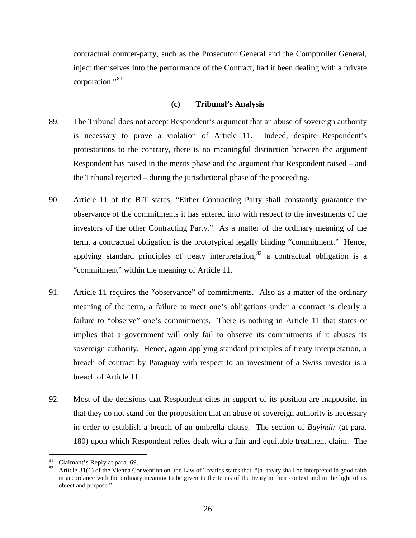contractual counter-party, such as the Prosecutor General and the Comptroller General, inject themselves into the performance of the Contract, had it been dealing with a private corporation."<sup>[81](#page-28-0)</sup>

#### **(c) Tribunal's Analysis**

- 89. The Tribunal does not accept Respondent's argument that an abuse of sovereign authority is necessary to prove a violation of Article 11. Indeed, despite Respondent's protestations to the contrary, there is no meaningful distinction between the argument Respondent has raised in the merits phase and the argument that Respondent raised – and the Tribunal rejected – during the jurisdictional phase of the proceeding.
- 90. Article 11 of the BIT states, "Either Contracting Party shall constantly guarantee the observance of the commitments it has entered into with respect to the investments of the investors of the other Contracting Party." As a matter of the ordinary meaning of the term, a contractual obligation is the prototypical legally binding "commitment." Hence, applying standard principles of treaty interpretation,  $82$  a contractual obligation is a "commitment" within the meaning of Article 11.
- 91. Article 11 requires the "observance" of commitments. Also as a matter of the ordinary meaning of the term, a failure to meet one's obligations under a contract is clearly a failure to "observe" one's commitments. There is nothing in Article 11 that states or implies that a government will only fail to observe its commitments if it abuses its sovereign authority. Hence, again applying standard principles of treaty interpretation, a breach of contract by Paraguay with respect to an investment of a Swiss investor is a breach of Article 11.
- 92. Most of the decisions that Respondent cites in support of its position are inapposite, in that they do not stand for the proposition that an abuse of sovereign authority is necessary in order to establish a breach of an umbrella clause. The section of *Bayindir* (at para. 180) upon which Respondent relies dealt with a fair and equitable treatment claim. The

<span id="page-28-1"></span><span id="page-28-0"></span><sup>&</sup>lt;sup>81</sup> Claimant's Reply at para. 69.<br><sup>82</sup> Article 31(1) of the Vienna Convention on the Law of Treaties states that, "[a] treaty shall be interpreted in good faith in accordance with the ordinary meaning to be given to the terms of the treaty in their context and in the light of its object and purpose."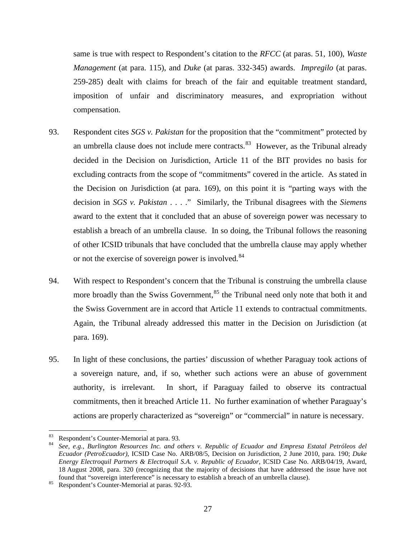same is true with respect to Respondent's citation to the *RFCC* (at paras. 51, 100), *Waste Management* (at para. 115), and *Duke* (at paras. 332-345) awards. *Impregilo* (at paras. 259-285) dealt with claims for breach of the fair and equitable treatment standard, imposition of unfair and discriminatory measures, and expropriation without compensation.

- 93. Respondent cites *SGS v. Pakistan* for the proposition that the "commitment" protected by an umbrella clause does not include mere contracts. $83$  However, as the Tribunal already decided in the Decision on Jurisdiction, Article 11 of the BIT provides no basis for excluding contracts from the scope of "commitments" covered in the article. As stated in the Decision on Jurisdiction (at para. 169), on this point it is "parting ways with the decision in *SGS v. Pakistan* . . . ." Similarly, the Tribunal disagrees with the *Siemens* award to the extent that it concluded that an abuse of sovereign power was necessary to establish a breach of an umbrella clause. In so doing, the Tribunal follows the reasoning of other ICSID tribunals that have concluded that the umbrella clause may apply whether or not the exercise of sovereign power is involved.<sup>[84](#page-29-1)</sup>
- 94. With respect to Respondent's concern that the Tribunal is construing the umbrella clause more broadly than the Swiss Government,<sup>[85](#page-29-2)</sup> the Tribunal need only note that both it and the Swiss Government are in accord that Article 11 extends to contractual commitments. Again, the Tribunal already addressed this matter in the Decision on Jurisdiction (at para. 169).
- 95. In light of these conclusions, the parties' discussion of whether Paraguay took actions of a sovereign nature, and, if so, whether such actions were an abuse of government authority, is irrelevant. In short, if Paraguay failed to observe its contractual commitments, then it breached Article 11. No further examination of whether Paraguay's actions are properly characterized as "sovereign" or "commercial" in nature is necessary.

<span id="page-29-1"></span>

<span id="page-29-0"></span><sup>83</sup> Respondent's Counter-Memorial at para. 93. <sup>84</sup> *See, e.g.*, *Burlington Resources Inc. and others v. Republic of Ecuador and Empresa Estatal Petróleos del Ecuador (PetroEcuador)*, ICSID Case No. ARB/08/5, Decision on Jurisdiction, 2 June 2010, para. 190; *Duke Energy Electroquil Partners & Electroquil S.A. v. Republic of Ecuador*, ICSID Case No. ARB/04/19, Award, 18 August 2008, para. 320 (recognizing that the majority of decisions that have addressed the issue have not found that "sovereign interference" is necessary to establish a breach of an umbrella clause). <sup>85</sup> Respondent's Counter-Memorial at paras. 92-93.

<span id="page-29-2"></span>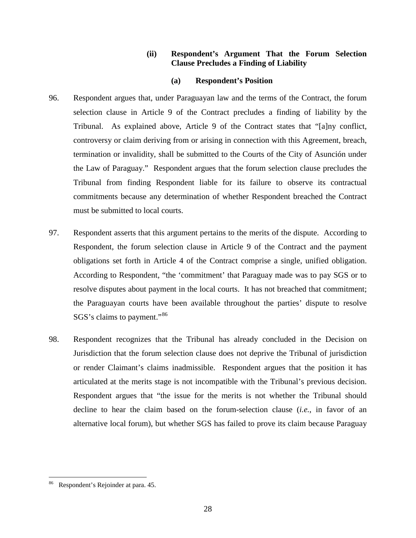### **(ii) Respondent's Argument That the Forum Selection Clause Precludes a Finding of Liability**

### **(a) Respondent's Position**

- 96. Respondent argues that, under Paraguayan law and the terms of the Contract, the forum selection clause in Article 9 of the Contract precludes a finding of liability by the Tribunal. As explained above, Article 9 of the Contract states that "[a]ny conflict, controversy or claim deriving from or arising in connection with this Agreement, breach, termination or invalidity, shall be submitted to the Courts of the City of Asunción under the Law of Paraguay." Respondent argues that the forum selection clause precludes the Tribunal from finding Respondent liable for its failure to observe its contractual commitments because any determination of whether Respondent breached the Contract must be submitted to local courts.
- 97. Respondent asserts that this argument pertains to the merits of the dispute. According to Respondent, the forum selection clause in Article 9 of the Contract and the payment obligations set forth in Article 4 of the Contract comprise a single, unified obligation. According to Respondent, "the 'commitment' that Paraguay made was to pay SGS or to resolve disputes about payment in the local courts. It has not breached that commitment; the Paraguayan courts have been available throughout the parties' dispute to resolve SGS's claims to payment."[86](#page-30-0)
- 98. Respondent recognizes that the Tribunal has already concluded in the Decision on Jurisdiction that the forum selection clause does not deprive the Tribunal of jurisdiction or render Claimant's claims inadmissible. Respondent argues that the position it has articulated at the merits stage is not incompatible with the Tribunal's previous decision. Respondent argues that "the issue for the merits is not whether the Tribunal should decline to hear the claim based on the forum-selection clause (*i.e.*, in favor of an alternative local forum), but whether SGS has failed to prove its claim because Paraguay

<span id="page-30-0"></span>Respondent's Rejoinder at para. 45.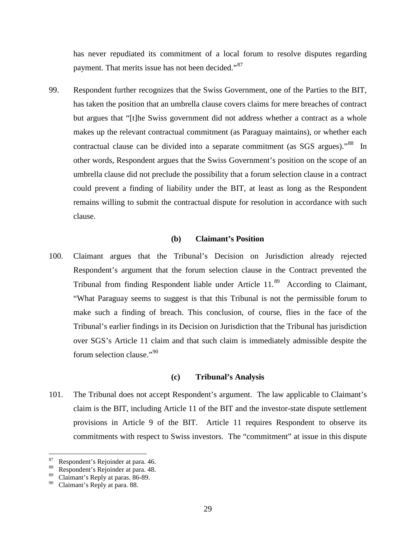has never repudiated its commitment of a local forum to resolve disputes regarding payment. That merits issue has not been decided."<sup>87</sup>

99. Respondent further recognizes that the Swiss Government, one of the Parties to the BIT, has taken the position that an umbrella clause covers claims for mere breaches of contract but argues that "[t]he Swiss government did not address whether a contract as a whole makes up the relevant contractual commitment (as Paraguay maintains), or whether each contractual clause can be divided into a separate commitment (as SGS argues).<sup>88</sup> In other words, Respondent argues that the Swiss Government's position on the scope of an umbrella clause did not preclude the possibility that a forum selection clause in a contract could prevent a finding of liability under the BIT, at least as long as the Respondent remains willing to submit the contractual dispute for resolution in accordance with such clause.

### **(b) Claimant's Position**

100. Claimant argues that the Tribunal's Decision on Jurisdiction already rejected Respondent's argument that the forum selection clause in the Contract prevented the Tribunal from finding Respondent liable under Article 11.<sup>89</sup> According to Claimant, "What Paraguay seems to suggest is that this Tribunal is not the permissible forum to make such a finding of breach. This conclusion, of course, flies in the face of the Tribunal's earlier findings in its Decision on Jurisdiction that the Tribunal has jurisdiction over SGS's Article 11 claim and that such claim is immediately admissible despite the forum selection clause."<sup>[90](#page-31-3)</sup>

#### **(c) Tribunal's Analysis**

101. The Tribunal does not accept Respondent's argument. The law applicable to Claimant's claim is the BIT, including Article 11 of the BIT and the investor-state dispute settlement provisions in Article 9 of the BIT. Article 11 requires Respondent to observe its commitments with respect to Swiss investors. The "commitment" at issue in this dispute

<span id="page-31-0"></span><sup>&</sup>lt;sup>87</sup> Respondent's Rejoinder at para. 46.<br><sup>88</sup> Respondent's Rejoinder at para. 48.<br><sup>89</sup> Claimant's Registrational at 26.80.

<span id="page-31-1"></span>

<span id="page-31-2"></span> $\frac{89}{90}$  Claimant's Reply at paras. 86-89.

<span id="page-31-3"></span>Claimant's Reply at para. 88.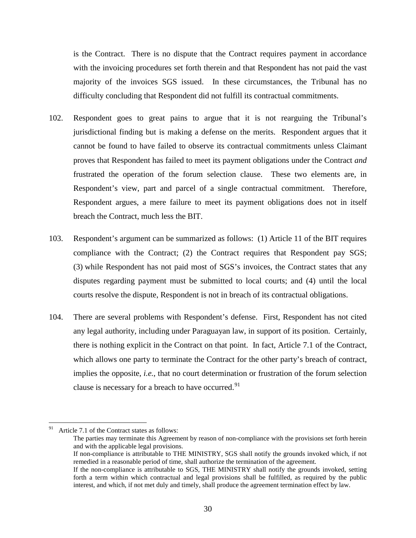is the Contract. There is no dispute that the Contract requires payment in accordance with the invoicing procedures set forth therein and that Respondent has not paid the vast majority of the invoices SGS issued. In these circumstances, the Tribunal has no difficulty concluding that Respondent did not fulfill its contractual commitments.

- 102. Respondent goes to great pains to argue that it is not rearguing the Tribunal's jurisdictional finding but is making a defense on the merits. Respondent argues that it cannot be found to have failed to observe its contractual commitments unless Claimant proves that Respondent has failed to meet its payment obligations under the Contract *and* frustrated the operation of the forum selection clause. These two elements are, in Respondent's view, part and parcel of a single contractual commitment. Therefore, Respondent argues, a mere failure to meet its payment obligations does not in itself breach the Contract, much less the BIT.
- 103. Respondent's argument can be summarized as follows: (1) Article 11 of the BIT requires compliance with the Contract; (2) the Contract requires that Respondent pay SGS; (3) while Respondent has not paid most of SGS's invoices, the Contract states that any disputes regarding payment must be submitted to local courts; and (4) until the local courts resolve the dispute, Respondent is not in breach of its contractual obligations.
- 104. There are several problems with Respondent's defense. First, Respondent has not cited any legal authority, including under Paraguayan law, in support of its position. Certainly, there is nothing explicit in the Contract on that point. In fact, Article 7.1 of the Contract, which allows one party to terminate the Contract for the other party's breach of contract, implies the opposite, *i.e.*, that no court determination or frustration of the forum selection clause is necessary for a breach to have occurred.<sup>91</sup>

<span id="page-32-0"></span><sup>&</sup>lt;sup>91</sup> Article 7.1 of the Contract states as follows:

The parties may terminate this Agreement by reason of non-compliance with the provisions set forth herein and with the applicable legal provisions.

If non-compliance is attributable to THE MINISTRY, SGS shall notify the grounds invoked which, if not remedied in a reasonable period of time, shall authorize the termination of the agreement.

If the non-compliance is attributable to SGS, THE MINISTRY shall notify the grounds invoked, setting forth a term within which contractual and legal provisions shall be fulfilled, as required by the public interest, and which, if not met duly and timely, shall produce the agreement termination effect by law.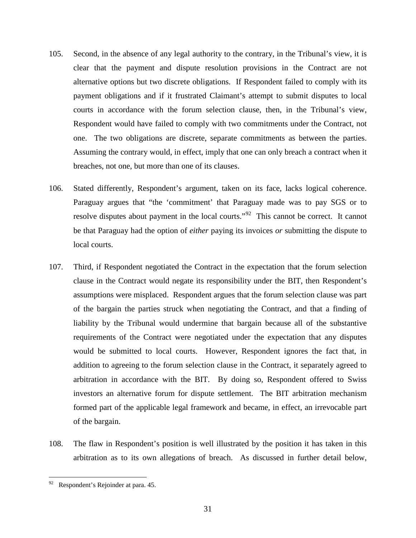- 105. Second, in the absence of any legal authority to the contrary, in the Tribunal's view, it is clear that the payment and dispute resolution provisions in the Contract are not alternative options but two discrete obligations. If Respondent failed to comply with its payment obligations and if it frustrated Claimant's attempt to submit disputes to local courts in accordance with the forum selection clause, then, in the Tribunal's view, Respondent would have failed to comply with two commitments under the Contract, not one. The two obligations are discrete, separate commitments as between the parties. Assuming the contrary would, in effect, imply that one can only breach a contract when it breaches, not one, but more than one of its clauses.
- 106. Stated differently, Respondent's argument, taken on its face, lacks logical coherence. Paraguay argues that "the 'commitment' that Paraguay made was to pay SGS or to resolve disputes about payment in the local courts."<sup>92</sup> This cannot be correct. It cannot be that Paraguay had the option of *either* paying its invoices *or* submitting the dispute to local courts.
- 107. Third, if Respondent negotiated the Contract in the expectation that the forum selection clause in the Contract would negate its responsibility under the BIT, then Respondent's assumptions were misplaced. Respondent argues that the forum selection clause was part of the bargain the parties struck when negotiating the Contract, and that a finding of liability by the Tribunal would undermine that bargain because all of the substantive requirements of the Contract were negotiated under the expectation that any disputes would be submitted to local courts. However, Respondent ignores the fact that, in addition to agreeing to the forum selection clause in the Contract, it separately agreed to arbitration in accordance with the BIT. By doing so, Respondent offered to Swiss investors an alternative forum for dispute settlement. The BIT arbitration mechanism formed part of the applicable legal framework and became, in effect, an irrevocable part of the bargain.
- 108. The flaw in Respondent's position is well illustrated by the position it has taken in this arbitration as to its own allegations of breach. As discussed in further detail below,

<span id="page-33-0"></span> <sup>92</sup> Respondent's Rejoinder at para. 45.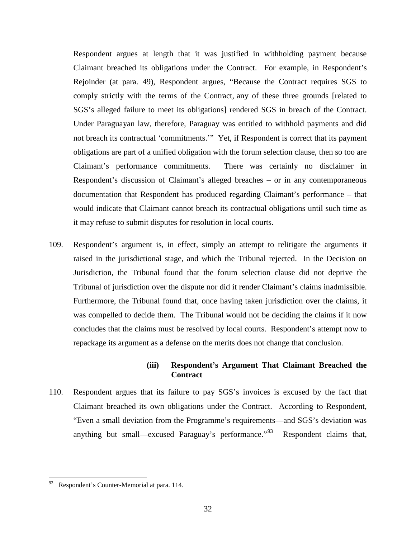Respondent argues at length that it was justified in withholding payment because Claimant breached its obligations under the Contract. For example, in Respondent's Rejoinder (at para. 49), Respondent argues, "Because the Contract requires SGS to comply strictly with the terms of the Contract, any of these three grounds [related to SGS's alleged failure to meet its obligations] rendered SGS in breach of the Contract. Under Paraguayan law, therefore, Paraguay was entitled to withhold payments and did not breach its contractual 'commitments.'" Yet, if Respondent is correct that its payment obligations are part of a unified obligation with the forum selection clause, then so too are Claimant's performance commitments. There was certainly no disclaimer in Respondent's discussion of Claimant's alleged breaches – or in any contemporaneous documentation that Respondent has produced regarding Claimant's performance – that would indicate that Claimant cannot breach its contractual obligations until such time as it may refuse to submit disputes for resolution in local courts.

109. Respondent's argument is, in effect, simply an attempt to relitigate the arguments it raised in the jurisdictional stage, and which the Tribunal rejected. In the Decision on Jurisdiction, the Tribunal found that the forum selection clause did not deprive the Tribunal of jurisdiction over the dispute nor did it render Claimant's claims inadmissible. Furthermore, the Tribunal found that, once having taken jurisdiction over the claims, it was compelled to decide them. The Tribunal would not be deciding the claims if it now concludes that the claims must be resolved by local courts. Respondent's attempt now to repackage its argument as a defense on the merits does not change that conclusion.

### **(iii) Respondent's Argument That Claimant Breached the Contract**

110. Respondent argues that its failure to pay SGS's invoices is excused by the fact that Claimant breached its own obligations under the Contract. According to Respondent, "Even a small deviation from the Programme's requirements—and SGS's deviation was anything but small—excused Paraguay's performance."<sup>[93](#page-34-0)</sup> Respondent claims that,

<span id="page-34-0"></span> <sup>93</sup> Respondent's Counter-Memorial at para. 114.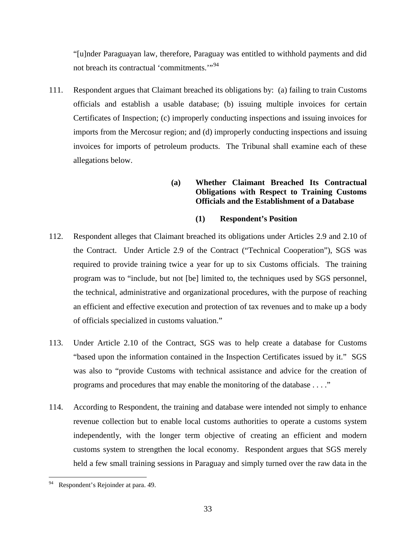"[u]nder Paraguayan law, therefore, Paraguay was entitled to withhold payments and did not breach its contractual 'commitments."<sup>[94](#page-35-0)</sup>

111. Respondent argues that Claimant breached its obligations by: (a) failing to train Customs officials and establish a usable database; (b) issuing multiple invoices for certain Certificates of Inspection; (c) improperly conducting inspections and issuing invoices for imports from the Mercosur region; and (d) improperly conducting inspections and issuing invoices for imports of petroleum products. The Tribunal shall examine each of these allegations below.

# **(a) Whether Claimant Breached Its Contractual Obligations with Respect to Training Customs Officials and the Establishment of a Database**

# **(1) Respondent's Position**

- 112. Respondent alleges that Claimant breached its obligations under Articles 2.9 and 2.10 of the Contract. Under Article 2.9 of the Contract ("Technical Cooperation"), SGS was required to provide training twice a year for up to six Customs officials. The training program was to "include, but not [be] limited to, the techniques used by SGS personnel, the technical, administrative and organizational procedures, with the purpose of reaching an efficient and effective execution and protection of tax revenues and to make up a body of officials specialized in customs valuation."
- 113. Under Article 2.10 of the Contract, SGS was to help create a database for Customs "based upon the information contained in the Inspection Certificates issued by it." SGS was also to "provide Customs with technical assistance and advice for the creation of programs and procedures that may enable the monitoring of the database . . . ."
- 114. According to Respondent, the training and database were intended not simply to enhance revenue collection but to enable local customs authorities to operate a customs system independently, with the longer term objective of creating an efficient and modern customs system to strengthen the local economy. Respondent argues that SGS merely held a few small training sessions in Paraguay and simply turned over the raw data in the

<span id="page-35-0"></span>Respondent's Rejoinder at para. 49.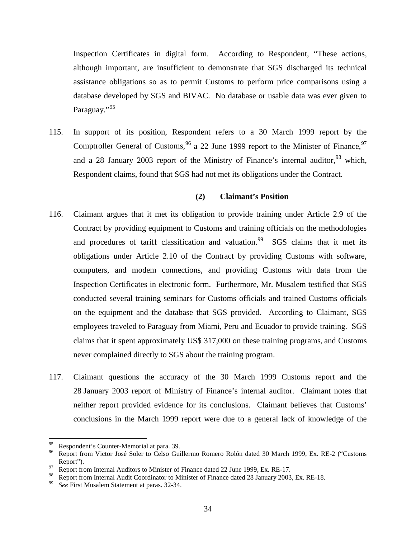Inspection Certificates in digital form. According to Respondent, "These actions, although important, are insufficient to demonstrate that SGS discharged its technical assistance obligations so as to permit Customs to perform price comparisons using a database developed by SGS and BIVAC. No database or usable data was ever given to Paraguay."<sup>[95](#page-36-0)</sup>

115. In support of its position, Respondent refers to a 30 March 1999 report by the Comptroller General of Customs,  $96$  a 22 June 1999 report to the Minister of Finance,  $97$ and a 28 January 2003 report of the Ministry of Finance's internal auditor,  $98$  which, Respondent claims, found that SGS had not met its obligations under the Contract.

#### **(2) Claimant's Position**

- 116. Claimant argues that it met its obligation to provide training under Article 2.9 of the Contract by providing equipment to Customs and training officials on the methodologies and procedures of tariff classification and valuation.<sup>99</sup> SGS claims that it met its obligations under Article 2.10 of the Contract by providing Customs with software, computers, and modem connections, and providing Customs with data from the Inspection Certificates in electronic form. Furthermore, Mr. Musalem testified that SGS conducted several training seminars for Customs officials and trained Customs officials on the equipment and the database that SGS provided. According to Claimant, SGS employees traveled to Paraguay from Miami, Peru and Ecuador to provide training. SGS claims that it spent approximately US\$ 317,000 on these training programs, and Customs never complained directly to SGS about the training program.
- 117. Claimant questions the accuracy of the 30 March 1999 Customs report and the 28 January 2003 report of Ministry of Finance's internal auditor. Claimant notes that neither report provided evidence for its conclusions. Claimant believes that Customs' conclusions in the March 1999 report were due to a general lack of knowledge of the

<span id="page-36-1"></span>

<span id="page-36-0"></span><sup>&</sup>lt;sup>95</sup> Respondent's Counter-Memorial at para. 39.<br><sup>96</sup> Report from Victor José Soler to Celso Guillermo Romero Rolón dated 30 March 1999, Ex. RE-2 ("Customs Report").<br><sup>97</sup> Report from Internal Auditors to Minister of Finance dated 22 June 1999, Ex. RE-17.

<span id="page-36-2"></span>

<span id="page-36-4"></span><span id="page-36-3"></span><sup>98</sup> Report from Internal Audit Coordinator to Minister of Finance dated 28 January 2003, Ex. RE-18. <sup>99</sup> *See* First Musalem Statement at paras. 32-34.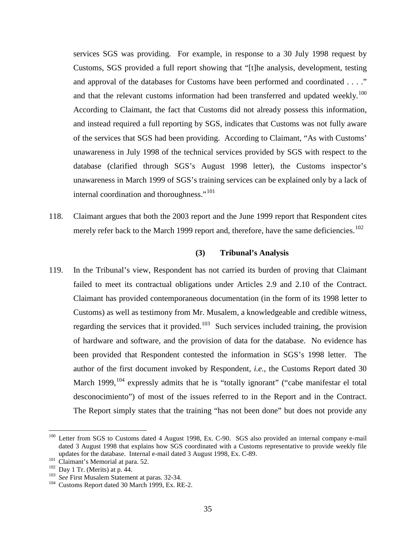services SGS was providing. For example, in response to a 30 July 1998 request by Customs, SGS provided a full report showing that "[t]he analysis, development, testing and approval of the databases for Customs have been performed and coordinated . . . ." and that the relevant customs information had been transferred and updated weekly.<sup>[100](#page-37-0)</sup> According to Claimant, the fact that Customs did not already possess this information, and instead required a full reporting by SGS, indicates that Customs was not fully aware of the services that SGS had been providing. According to Claimant, "As with Customs' unawareness in July 1998 of the technical services provided by SGS with respect to the database (clarified through SGS's August 1998 letter), the Customs inspector's unawareness in March 1999 of SGS's training services can be explained only by a lack of internal coordination and thoroughness."<sup>[101](#page-37-1)</sup>

118. Claimant argues that both the 2003 report and the June 1999 report that Respondent cites merely refer back to the March 1999 report and, therefore, have the same deficiencies.<sup>[102](#page-37-2)</sup>

### **(3) Tribunal's Analysis**

119. In the Tribunal's view, Respondent has not carried its burden of proving that Claimant failed to meet its contractual obligations under Articles 2.9 and 2.10 of the Contract. Claimant has provided contemporaneous documentation (in the form of its 1998 letter to Customs) as well as testimony from Mr. Musalem, a knowledgeable and credible witness, regarding the services that it provided.<sup>[103](#page-37-3)</sup> Such services included training, the provision of hardware and software, and the provision of data for the database. No evidence has been provided that Respondent contested the information in SGS's 1998 letter. The author of the first document invoked by Respondent, *i.e.*, the Customs Report dated 30 March 1999,  $104$  expressly admits that he is "totally ignorant" ("cabe manifestar el total desconocimiento") of most of the issues referred to in the Report and in the Contract. The Report simply states that the training "has not been done" but does not provide any

<span id="page-37-0"></span><sup>&</sup>lt;sup>100</sup> Letter from SGS to Customs dated 4 August 1998, Ex. C-90. SGS also provided an internal company e-mail dated 3 August 1998 that explains how SGS coordinated with a Customs representative to provide weekly file updates for the database. Internal e-mail dated 3 August 1998, Ex. C-89.

<span id="page-37-2"></span>

<span id="page-37-4"></span><span id="page-37-3"></span>

<span id="page-37-1"></span><sup>&</sup>lt;sup>102</sup> Claimant's Memorial at para. 52.<br><sup>102</sup> Day 1 Tr. (Merits) at p. 44.<br><sup>103</sup> See First Musalem Statement at paras. 32-34.<br><sup>104</sup> Customs Report dated 30 March 1999, Ex. RE-2.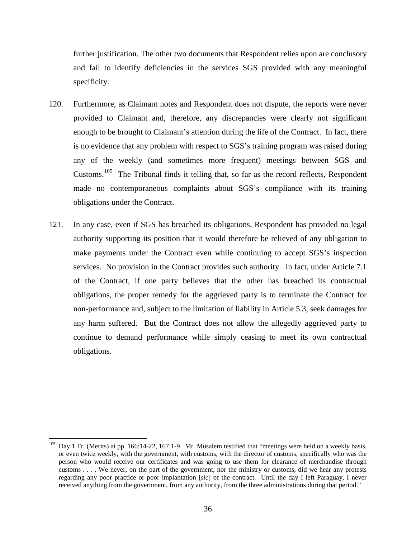further justification. The other two documents that Respondent relies upon are conclusory and fail to identify deficiencies in the services SGS provided with any meaningful specificity.

- 120. Furthermore, as Claimant notes and Respondent does not dispute, the reports were never provided to Claimant and, therefore, any discrepancies were clearly not significant enough to be brought to Claimant's attention during the life of the Contract. In fact, there is no evidence that any problem with respect to SGS's training program was raised during any of the weekly (and sometimes more frequent) meetings between SGS and Customs.[105](#page-38-0) The Tribunal finds it telling that, so far as the record reflects, Respondent made no contemporaneous complaints about SGS's compliance with its training obligations under the Contract.
- 121. In any case, even if SGS has breached its obligations, Respondent has provided no legal authority supporting its position that it would therefore be relieved of any obligation to make payments under the Contract even while continuing to accept SGS's inspection services. No provision in the Contract provides such authority. In fact, under Article 7.1 of the Contract, if one party believes that the other has breached its contractual obligations, the proper remedy for the aggrieved party is to terminate the Contract for non-performance and, subject to the limitation of liability in Article 5.3, seek damages for any harm suffered. But the Contract does not allow the allegedly aggrieved party to continue to demand performance while simply ceasing to meet its own contractual obligations.

<span id="page-38-0"></span><sup>&</sup>lt;sup>105</sup> Day 1 Tr. (Merits) at pp. 166:14-22, 167:1-9. Mr. Musalem testified that "meetings were held on a weekly basis, or even twice weekly, with the government, with customs, with the director of customs, specifically who was the person who would receive our certificates and was going to use them for clearance of merchandise through customs . . . . We never, on the part of the government, nor the ministry or customs, did we hear any protests regarding any poor practice or poor implantation [*sic*] of the contract. Until the day I left Paraguay, I never received anything from the government, from any authority, from the three administrations during that period."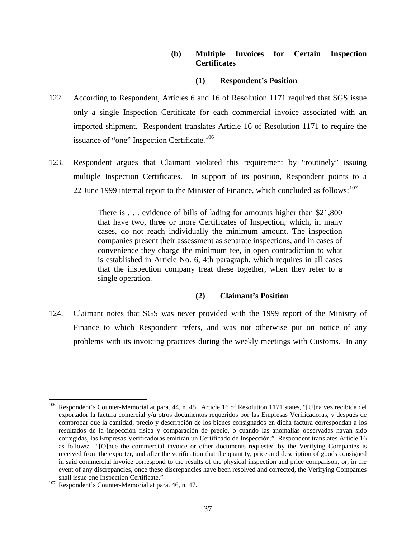# **(b) Multiple Invoices for Certain Inspection Certificates**

# **(1) Respondent's Position**

- 122. According to Respondent, Articles 6 and 16 of Resolution 1171 required that SGS issue only a single Inspection Certificate for each commercial invoice associated with an imported shipment. Respondent translates Article 16 of Resolution 1171 to require the issuance of "one" Inspection Certificate.<sup>[106](#page-39-0)</sup>
- 123. Respondent argues that Claimant violated this requirement by "routinely" issuing multiple Inspection Certificates. In support of its position, Respondent points to a 22 June 1999 internal report to the Minister of Finance, which concluded as follows: $107$

There is . . . evidence of bills of lading for amounts higher than \$21,800 that have two, three or more Certificates of Inspection, which, in many cases, do not reach individually the minimum amount. The inspection companies present their assessment as separate inspections, and in cases of convenience they charge the minimum fee, in open contradiction to what is established in Article No. 6, 4th paragraph, which requires in all cases that the inspection company treat these together, when they refer to a single operation.

### **(2) Claimant's Position**

124. Claimant notes that SGS was never provided with the 1999 report of the Ministry of Finance to which Respondent refers, and was not otherwise put on notice of any problems with its invoicing practices during the weekly meetings with Customs. In any

<span id="page-39-0"></span><sup>&</sup>lt;sup>106</sup> Respondent's Counter-Memorial at para. 44, n. 45. Article 16 of Resolution 1171 states, "[U]na vez recibida del exportador la factura comercial y/u otros documentos requeridos por las Empresas Verificadoras, y después de comprobar que la cantidad, precio y descripción de los bienes consignados en dicha factura correspondan a los resultados de la inspección física y comparación de precio, o cuando las anomalías observadas hayan sido corregidas, las Empresas Verificadoras emitirán un Certificado de Inspección." Respondent translates Article 16 as follows: "[O]nce the commercial invoice or other documents requested by the Verifying Companies is received from the exporter, and after the verification that the quantity, price and description of goods consigned in said commercial invoice correspond to the results of the physical inspection and price comparison, or, in the event of any discrepancies, once these discrepancies have been resolved and corrected, the Verifying Companies shall issue one Inspection Certificate."<br><sup>107</sup> Respondent's Counter-Memorial at para. 46, n. 47.

<span id="page-39-1"></span>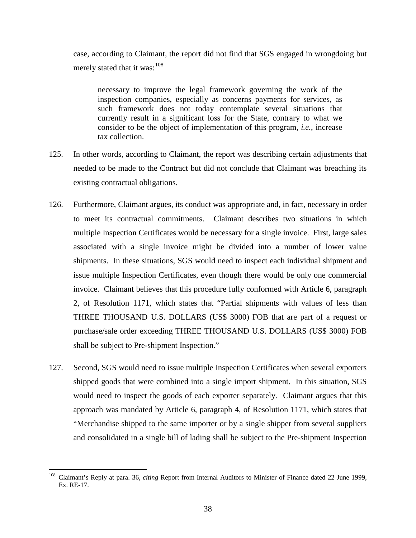case, according to Claimant, the report did not find that SGS engaged in wrongdoing but merely stated that it was:  $108$ 

necessary to improve the legal framework governing the work of the inspection companies, especially as concerns payments for services, as such framework does not today contemplate several situations that currently result in a significant loss for the State, contrary to what we consider to be the object of implementation of this program, *i.e.*, increase tax collection.

- 125. In other words, according to Claimant, the report was describing certain adjustments that needed to be made to the Contract but did not conclude that Claimant was breaching its existing contractual obligations.
- 126. Furthermore, Claimant argues, its conduct was appropriate and, in fact, necessary in order to meet its contractual commitments. Claimant describes two situations in which multiple Inspection Certificates would be necessary for a single invoice. First, large sales associated with a single invoice might be divided into a number of lower value shipments. In these situations, SGS would need to inspect each individual shipment and issue multiple Inspection Certificates, even though there would be only one commercial invoice. Claimant believes that this procedure fully conformed with Article 6, paragraph 2, of Resolution 1171, which states that "Partial shipments with values of less than THREE THOUSAND U.S. DOLLARS (US\$ 3000) FOB that are part of a request or purchase/sale order exceeding THREE THOUSAND U.S. DOLLARS (US\$ 3000) FOB shall be subject to Pre-shipment Inspection."
- 127. Second, SGS would need to issue multiple Inspection Certificates when several exporters shipped goods that were combined into a single import shipment. In this situation, SGS would need to inspect the goods of each exporter separately. Claimant argues that this approach was mandated by Article 6, paragraph 4, of Resolution 1171, which states that "Merchandise shipped to the same importer or by a single shipper from several suppliers and consolidated in a single bill of lading shall be subject to the Pre-shipment Inspection

<span id="page-40-0"></span> <sup>108</sup> Claimant's Reply at para. 36, *citing* Report from Internal Auditors to Minister of Finance dated 22 June 1999, Ex. RE-17.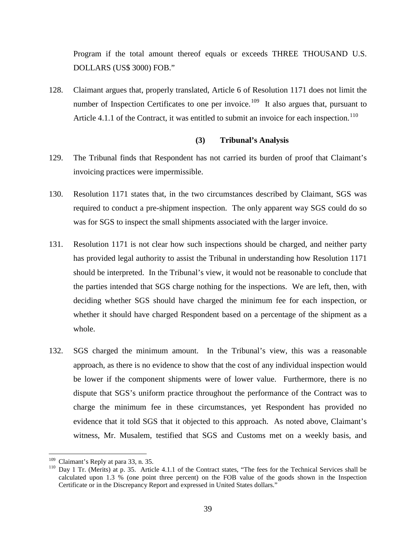Program if the total amount thereof equals or exceeds THREE THOUSAND U.S. DOLLARS (US\$ 3000) FOB."

128. Claimant argues that, properly translated, Article 6 of Resolution 1171 does not limit the number of Inspection Certificates to one per invoice.<sup>109</sup> It also argues that, pursuant to Article 4.1.1 of the Contract, it was entitled to submit an invoice for each inspection.<sup>[110](#page-41-1)</sup>

### **(3) Tribunal's Analysis**

- 129. The Tribunal finds that Respondent has not carried its burden of proof that Claimant's invoicing practices were impermissible.
- 130. Resolution 1171 states that, in the two circumstances described by Claimant, SGS was required to conduct a pre-shipment inspection. The only apparent way SGS could do so was for SGS to inspect the small shipments associated with the larger invoice.
- 131. Resolution 1171 is not clear how such inspections should be charged, and neither party has provided legal authority to assist the Tribunal in understanding how Resolution 1171 should be interpreted. In the Tribunal's view, it would not be reasonable to conclude that the parties intended that SGS charge nothing for the inspections. We are left, then, with deciding whether SGS should have charged the minimum fee for each inspection, or whether it should have charged Respondent based on a percentage of the shipment as a whole.
- 132. SGS charged the minimum amount. In the Tribunal's view, this was a reasonable approach, as there is no evidence to show that the cost of any individual inspection would be lower if the component shipments were of lower value. Furthermore, there is no dispute that SGS's uniform practice throughout the performance of the Contract was to charge the minimum fee in these circumstances, yet Respondent has provided no evidence that it told SGS that it objected to this approach. As noted above, Claimant's witness, Mr. Musalem, testified that SGS and Customs met on a weekly basis, and

<span id="page-41-1"></span><span id="page-41-0"></span><sup>&</sup>lt;sup>109</sup> Claimant's Reply at para 33, n. 35.<br><sup>110</sup> Dav 1 Tr. (Merits) at p. 35. Article 4.1.1 of the Contract states, "The fees for the Technical Services shall be calculated upon 1.3 % (one point three percent) on the FOB value of the goods shown in the Inspection Certificate or in the Discrepancy Report and expressed in United States dollars."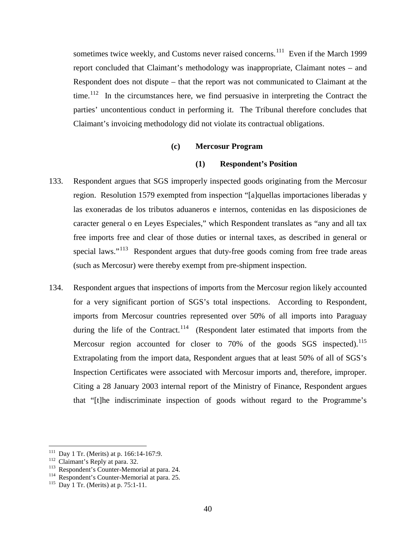sometimes twice weekly, and Customs never raised concerns.<sup>111</sup> Even if the March 1999 report concluded that Claimant's methodology was inappropriate, Claimant notes – and Respondent does not dispute – that the report was not communicated to Claimant at the time.<sup>[112](#page-42-1)</sup> In the circumstances here, we find persuasive in interpreting the Contract the parties' uncontentious conduct in performing it. The Tribunal therefore concludes that Claimant's invoicing methodology did not violate its contractual obligations.

#### **(c) Mercosur Program**

#### **(1) Respondent's Position**

- 133. Respondent argues that SGS improperly inspected goods originating from the Mercosur region. Resolution 1579 exempted from inspection "[a]quellas importaciones liberadas y las exoneradas de los tributos aduaneros e internos, contenidas en las disposiciones de caracter general o en Leyes Especiales," which Respondent translates as "any and all tax free imports free and clear of those duties or internal taxes, as described in general or special laws."<sup>113</sup> Respondent argues that duty-free goods coming from free trade areas (such as Mercosur) were thereby exempt from pre-shipment inspection.
- 134. Respondent argues that inspections of imports from the Mercosur region likely accounted for a very significant portion of SGS's total inspections. According to Respondent, imports from Mercosur countries represented over 50% of all imports into Paraguay during the life of the Contract.<sup>114</sup> (Respondent later estimated that imports from the Mercosur region accounted for closer to  $70\%$  of the goods SGS inspected).<sup>[115](#page-42-4)</sup> Extrapolating from the import data, Respondent argues that at least 50% of all of SGS's Inspection Certificates were associated with Mercosur imports and, therefore, improper. Citing a 28 January 2003 internal report of the Ministry of Finance, Respondent argues that "[t]he indiscriminate inspection of goods without regard to the Programme's

<span id="page-42-1"></span>

<span id="page-42-3"></span><span id="page-42-2"></span>

<span id="page-42-0"></span><sup>&</sup>lt;sup>111</sup> Day 1 Tr. (Merits) at p. 166:14-167:9.<br><sup>112</sup> Claimant's Reply at para. 32.<br><sup>113</sup> Respondent's Counter-Memorial at para. 24.<br><sup>115</sup> Day 1 Tr. (Merits) at p. 75:1-11.

<span id="page-42-4"></span>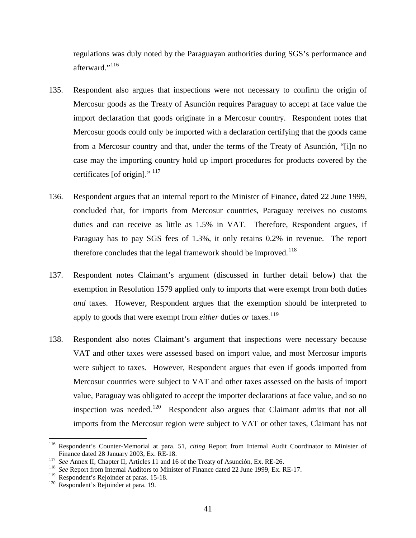regulations was duly noted by the Paraguayan authorities during SGS's performance and afterward."<sup>[116](#page-43-0)</sup>

- 135. Respondent also argues that inspections were not necessary to confirm the origin of Mercosur goods as the Treaty of Asunción requires Paraguay to accept at face value the import declaration that goods originate in a Mercosur country. Respondent notes that Mercosur goods could only be imported with a declaration certifying that the goods came from a Mercosur country and that, under the terms of the Treaty of Asunción, "[i]n no case may the importing country hold up import procedures for products covered by the certificates [of origin]."  $^{117}$  $^{117}$  $^{117}$
- 136. Respondent argues that an internal report to the Minister of Finance, dated 22 June 1999, concluded that, for imports from Mercosur countries, Paraguay receives no customs duties and can receive as little as 1.5% in VAT. Therefore, Respondent argues, if Paraguay has to pay SGS fees of 1.3%, it only retains 0.2% in revenue. The report therefore concludes that the legal framework should be improved.<sup>[118](#page-43-2)</sup>
- 137. Respondent notes Claimant's argument (discussed in further detail below) that the exemption in Resolution 1579 applied only to imports that were exempt from both duties *and* taxes. However, Respondent argues that the exemption should be interpreted to apply to goods that were exempt from *either* duties *or* taxes.<sup>[119](#page-43-3)</sup>
- 138. Respondent also notes Claimant's argument that inspections were necessary because VAT and other taxes were assessed based on import value, and most Mercosur imports were subject to taxes. However, Respondent argues that even if goods imported from Mercosur countries were subject to VAT and other taxes assessed on the basis of import value, Paraguay was obligated to accept the importer declarations at face value, and so no inspection was needed.<sup>[120](#page-43-4)</sup> Respondent also argues that Claimant admits that not all imports from the Mercosur region were subject to VAT or other taxes, Claimant has not

<span id="page-43-0"></span><sup>&</sup>lt;sup>116</sup> Respondent's Counter-Memorial at para. 51, *citing* Report from Internal Audit Coordinator to Minister of Finance dated 28 January 2003, Ex. RE-18.

<span id="page-43-2"></span>

<span id="page-43-1"></span><sup>117</sup> See Annex II, Chapter II, Articles 11 and 16 of the Treaty of Asunción, Ex. RE-26.<br><sup>118</sup> See Report from Internal Auditors to Minister of Finance dated 22 June 1999, Ex. RE-17.

<span id="page-43-3"></span><sup>&</sup>lt;sup>119</sup> Respondent's Rejoinder at paras. 15-18.<br><sup>120</sup> Respondent's Rejoinder at para. 19.

<span id="page-43-4"></span>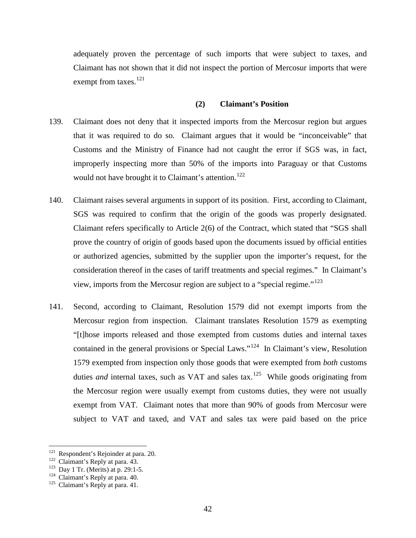adequately proven the percentage of such imports that were subject to taxes, and Claimant has not shown that it did not inspect the portion of Mercosur imports that were exempt from taxes.<sup>[121](#page-44-0)</sup>

#### **(2) Claimant's Position**

- 139. Claimant does not deny that it inspected imports from the Mercosur region but argues that it was required to do so. Claimant argues that it would be "inconceivable" that Customs and the Ministry of Finance had not caught the error if SGS was, in fact, improperly inspecting more than 50% of the imports into Paraguay or that Customs would not have brought it to Claimant's attention.<sup>[122](#page-44-1)</sup>
- 140. Claimant raises several arguments in support of its position. First, according to Claimant, SGS was required to confirm that the origin of the goods was properly designated. Claimant refers specifically to Article 2(6) of the Contract, which stated that "SGS shall prove the country of origin of goods based upon the documents issued by official entities or authorized agencies, submitted by the supplier upon the importer's request, for the consideration thereof in the cases of tariff treatments and special regimes." In Claimant's view, imports from the Mercosur region are subject to a "special regime."[123](#page-44-2)
- 141. Second, according to Claimant, Resolution 1579 did not exempt imports from the Mercosur region from inspection. Claimant translates Resolution 1579 as exempting "[t]hose imports released and those exempted from customs duties and internal taxes contained in the general provisions or Special Laws."<sup>[124](#page-44-3)</sup> In Claimant's view, Resolution 1579 exempted from inspection only those goods that were exempted from *both* customs duties *and* internal taxes, such as VAT and sales  $\text{tax.}^{125}$  While goods originating from the Mercosur region were usually exempt from customs duties, they were not usually exempt from VAT. Claimant notes that more than 90% of goods from Mercosur were subject to VAT and taxed, and VAT and sales tax were paid based on the price

<span id="page-44-0"></span><sup>&</sup>lt;sup>121</sup> Respondent's Rejoinder at para. 20.<br><sup>122</sup> Claimant's Reply at para. 43.<br><sup>123</sup> Day 1 Tr. (Merits) at p. 29:1-5.<br><sup>124</sup> Claimant's Reply at para. 40.<br><sup>125</sup> Claimant's Reply at para. 41.

<span id="page-44-1"></span>

<span id="page-44-2"></span>

<span id="page-44-3"></span>

<span id="page-44-4"></span>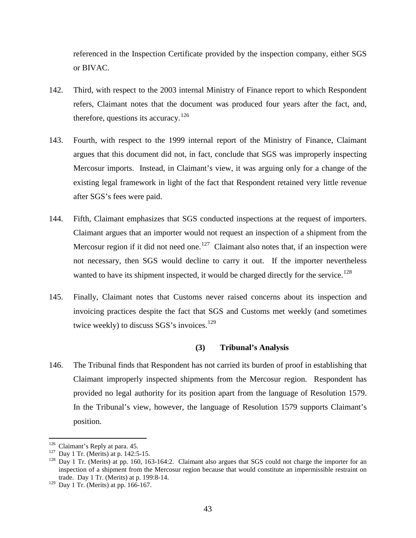referenced in the Inspection Certificate provided by the inspection company, either SGS or BIVAC.

- 142. Third, with respect to the 2003 internal Ministry of Finance report to which Respondent refers, Claimant notes that the document was produced four years after the fact, and, therefore, questions its accuracy.<sup>[126](#page-45-0)</sup>
- 143. Fourth, with respect to the 1999 internal report of the Ministry of Finance, Claimant argues that this document did not, in fact, conclude that SGS was improperly inspecting Mercosur imports. Instead, in Claimant's view, it was arguing only for a change of the existing legal framework in light of the fact that Respondent retained very little revenue after SGS's fees were paid.
- 144. Fifth, Claimant emphasizes that SGS conducted inspections at the request of importers. Claimant argues that an importer would not request an inspection of a shipment from the Mercosur region if it did not need one.<sup>127</sup> Claimant also notes that, if an inspection were not necessary, then SGS would decline to carry it out. If the importer nevertheless wanted to have its shipment inspected, it would be charged directly for the service.<sup>[128](#page-45-2)</sup>
- 145. Finally, Claimant notes that Customs never raised concerns about its inspection and invoicing practices despite the fact that SGS and Customs met weekly (and sometimes twice weekly) to discuss SGS's invoices.<sup>[129](#page-45-3)</sup>

### **(3) Tribunal's Analysis**

146. The Tribunal finds that Respondent has not carried its burden of proof in establishing that Claimant improperly inspected shipments from the Mercosur region. Respondent has provided no legal authority for its position apart from the language of Resolution 1579. In the Tribunal's view, however, the language of Resolution 1579 supports Claimant's position.

<span id="page-45-2"></span><span id="page-45-1"></span>

<span id="page-45-0"></span><sup>&</sup>lt;sup>126</sup> Claimant's Reply at para. 45.<br><sup>127</sup> Day 1 Tr. (Merits) at p. 142:5-15.<br><sup>128</sup> Day 1 Tr. (Merits) at pp. 160, 163-164:2. Claimant also argues that SGS could not charge the importer for an inspection of a shipment from the Mercosur region because that would constitute an impermissible restraint on trade. Day 1 Tr. (Merits) at p. 199:8-14.

<span id="page-45-3"></span><sup>129</sup> Day 1 Tr. (Merits) at pp. 166-167.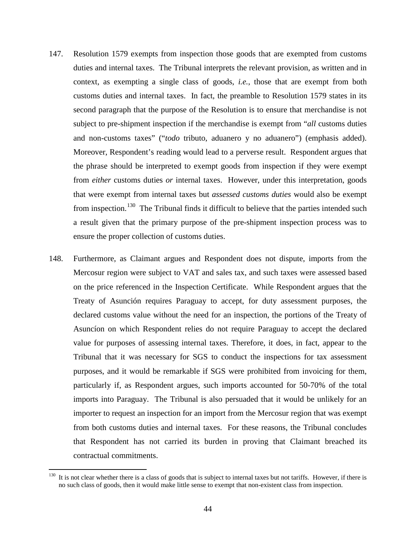- 147. Resolution 1579 exempts from inspection those goods that are exempted from customs duties and internal taxes. The Tribunal interprets the relevant provision, as written and in context, as exempting a single class of goods, *i.e.*, those that are exempt from both customs duties and internal taxes. In fact, the preamble to Resolution 1579 states in its second paragraph that the purpose of the Resolution is to ensure that merchandise is not subject to pre-shipment inspection if the merchandise is exempt from "*all* customs duties and non-customs taxes" ("*todo* tributo, aduanero y no aduanero") (emphasis added). Moreover, Respondent's reading would lead to a perverse result. Respondent argues that the phrase should be interpreted to exempt goods from inspection if they were exempt from *either* customs duties *or* internal taxes. However, under this interpretation, goods that were exempt from internal taxes but *assessed customs duties* would also be exempt from inspection.<sup>[130](#page-46-0)</sup> The Tribunal finds it difficult to believe that the parties intended such a result given that the primary purpose of the pre-shipment inspection process was to ensure the proper collection of customs duties.
- 148. Furthermore, as Claimant argues and Respondent does not dispute, imports from the Mercosur region were subject to VAT and sales tax, and such taxes were assessed based on the price referenced in the Inspection Certificate. While Respondent argues that the Treaty of Asunción requires Paraguay to accept, for duty assessment purposes, the declared customs value without the need for an inspection, the portions of the Treaty of Asuncíon on which Respondent relies do not require Paraguay to accept the declared value for purposes of assessing internal taxes. Therefore, it does, in fact, appear to the Tribunal that it was necessary for SGS to conduct the inspections for tax assessment purposes, and it would be remarkable if SGS were prohibited from invoicing for them, particularly if, as Respondent argues, such imports accounted for 50-70% of the total imports into Paraguay. The Tribunal is also persuaded that it would be unlikely for an importer to request an inspection for an import from the Mercosur region that was exempt from both customs duties and internal taxes. For these reasons, the Tribunal concludes that Respondent has not carried its burden in proving that Claimant breached its contractual commitments.

<span id="page-46-0"></span> $130$  It is not clear whether there is a class of goods that is subject to internal taxes but not tariffs. However, if there is no such class of goods, then it would make little sense to exempt that non-existent class from inspection.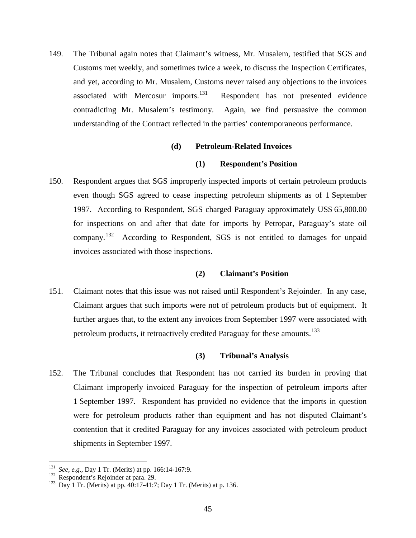149. The Tribunal again notes that Claimant's witness, Mr. Musalem, testified that SGS and Customs met weekly, and sometimes twice a week, to discuss the Inspection Certificates, and yet, according to Mr. Musalem, Customs never raised any objections to the invoices associated with Mercosur imports.<sup>131</sup> Respondent has not presented evidence contradicting Mr. Musalem's testimony. Again, we find persuasive the common understanding of the Contract reflected in the parties' contemporaneous performance.

### **(d) Petroleum-Related Invoices**

### **(1) Respondent's Position**

150. Respondent argues that SGS improperly inspected imports of certain petroleum products even though SGS agreed to cease inspecting petroleum shipments as of 1 September 1997. According to Respondent, SGS charged Paraguay approximately US\$ 65,800.00 for inspections on and after that date for imports by Petropar, Paraguay's state oil company.[132](#page-47-1) According to Respondent, SGS is not entitled to damages for unpaid invoices associated with those inspections.

### **(2) Claimant's Position**

151. Claimant notes that this issue was not raised until Respondent's Rejoinder. In any case, Claimant argues that such imports were not of petroleum products but of equipment. It further argues that, to the extent any invoices from September 1997 were associated with petroleum products, it retroactively credited Paraguay for these amounts.<sup>[133](#page-47-2)</sup>

### **(3) Tribunal's Analysis**

152. The Tribunal concludes that Respondent has not carried its burden in proving that Claimant improperly invoiced Paraguay for the inspection of petroleum imports after 1 September 1997. Respondent has provided no evidence that the imports in question were for petroleum products rather than equipment and has not disputed Claimant's contention that it credited Paraguay for any invoices associated with petroleum product shipments in September 1997.

<span id="page-47-2"></span><span id="page-47-1"></span>

<span id="page-47-0"></span><sup>&</sup>lt;sup>131</sup> *See, e.g.*, Day 1 Tr. (Merits) at pp. 166:14-167:9.<br><sup>132</sup> Respondent's Rejoinder at para. 29.<br><sup>133</sup> Day 1 Tr. (Merits) at pp. 40:17-41:7; Day 1 Tr. (Merits) at p. 136.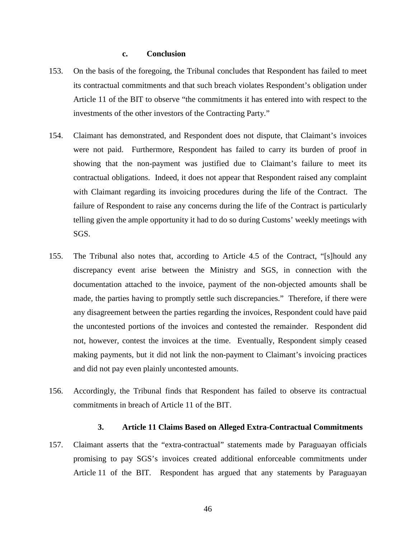#### **c. Conclusion**

- 153. On the basis of the foregoing, the Tribunal concludes that Respondent has failed to meet its contractual commitments and that such breach violates Respondent's obligation under Article 11 of the BIT to observe "the commitments it has entered into with respect to the investments of the other investors of the Contracting Party."
- 154. Claimant has demonstrated, and Respondent does not dispute, that Claimant's invoices were not paid. Furthermore, Respondent has failed to carry its burden of proof in showing that the non-payment was justified due to Claimant's failure to meet its contractual obligations. Indeed, it does not appear that Respondent raised any complaint with Claimant regarding its invoicing procedures during the life of the Contract. The failure of Respondent to raise any concerns during the life of the Contract is particularly telling given the ample opportunity it had to do so during Customs' weekly meetings with SGS.
- 155. The Tribunal also notes that, according to Article 4.5 of the Contract, "[s]hould any discrepancy event arise between the Ministry and SGS, in connection with the documentation attached to the invoice, payment of the non-objected amounts shall be made, the parties having to promptly settle such discrepancies." Therefore, if there were any disagreement between the parties regarding the invoices, Respondent could have paid the uncontested portions of the invoices and contested the remainder. Respondent did not, however, contest the invoices at the time. Eventually, Respondent simply ceased making payments, but it did not link the non-payment to Claimant's invoicing practices and did not pay even plainly uncontested amounts.
- 156. Accordingly, the Tribunal finds that Respondent has failed to observe its contractual commitments in breach of Article 11 of the BIT.

#### **3. Article 11 Claims Based on Alleged Extra-Contractual Commitments**

157. Claimant asserts that the "extra-contractual" statements made by Paraguayan officials promising to pay SGS's invoices created additional enforceable commitments under Article 11 of the BIT. Respondent has argued that any statements by Paraguayan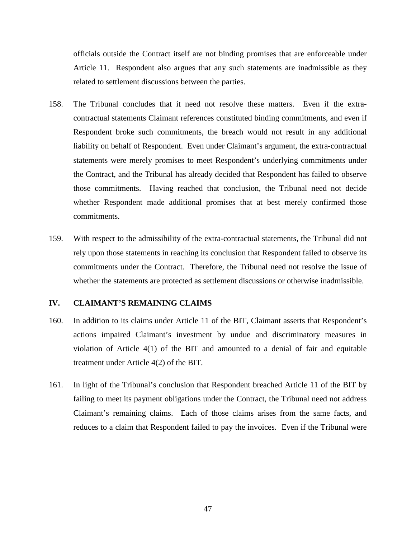officials outside the Contract itself are not binding promises that are enforceable under Article 11. Respondent also argues that any such statements are inadmissible as they related to settlement discussions between the parties.

- 158. The Tribunal concludes that it need not resolve these matters. Even if the extracontractual statements Claimant references constituted binding commitments, and even if Respondent broke such commitments, the breach would not result in any additional liability on behalf of Respondent. Even under Claimant's argument, the extra-contractual statements were merely promises to meet Respondent's underlying commitments under the Contract, and the Tribunal has already decided that Respondent has failed to observe those commitments. Having reached that conclusion, the Tribunal need not decide whether Respondent made additional promises that at best merely confirmed those commitments.
- 159. With respect to the admissibility of the extra-contractual statements, the Tribunal did not rely upon those statements in reaching its conclusion that Respondent failed to observe its commitments under the Contract. Therefore, the Tribunal need not resolve the issue of whether the statements are protected as settlement discussions or otherwise inadmissible.

### **IV. CLAIMANT'S REMAINING CLAIMS**

- 160. In addition to its claims under Article 11 of the BIT, Claimant asserts that Respondent's actions impaired Claimant's investment by undue and discriminatory measures in violation of Article 4(1) of the BIT and amounted to a denial of fair and equitable treatment under Article 4(2) of the BIT.
- 161. In light of the Tribunal's conclusion that Respondent breached Article 11 of the BIT by failing to meet its payment obligations under the Contract, the Tribunal need not address Claimant's remaining claims. Each of those claims arises from the same facts, and reduces to a claim that Respondent failed to pay the invoices. Even if the Tribunal were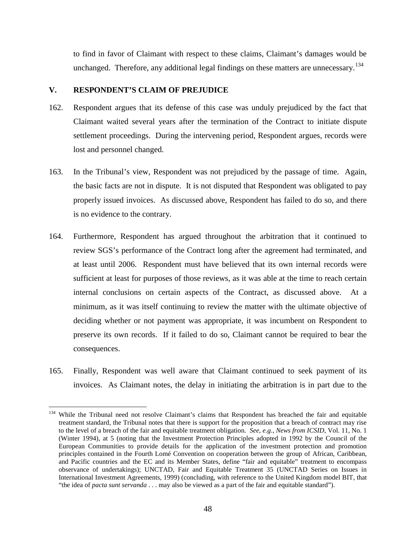to find in favor of Claimant with respect to these claims, Claimant's damages would be unchanged. Therefore, any additional legal findings on these matters are unnecessary.<sup>[134](#page-50-0)</sup>

# **V. RESPONDENT'S CLAIM OF PREJUDICE**

- 162. Respondent argues that its defense of this case was unduly prejudiced by the fact that Claimant waited several years after the termination of the Contract to initiate dispute settlement proceedings. During the intervening period, Respondent argues, records were lost and personnel changed.
- 163. In the Tribunal's view, Respondent was not prejudiced by the passage of time. Again, the basic facts are not in dispute. It is not disputed that Respondent was obligated to pay properly issued invoices. As discussed above, Respondent has failed to do so, and there is no evidence to the contrary.
- 164. Furthermore, Respondent has argued throughout the arbitration that it continued to review SGS's performance of the Contract long after the agreement had terminated, and at least until 2006. Respondent must have believed that its own internal records were sufficient at least for purposes of those reviews, as it was able at the time to reach certain internal conclusions on certain aspects of the Contract, as discussed above. At a minimum, as it was itself continuing to review the matter with the ultimate objective of deciding whether or not payment was appropriate, it was incumbent on Respondent to preserve its own records. If it failed to do so, Claimant cannot be required to bear the consequences.
- 165. Finally, Respondent was well aware that Claimant continued to seek payment of its invoices. As Claimant notes, the delay in initiating the arbitration is in part due to the

<span id="page-50-0"></span><sup>&</sup>lt;sup>134</sup> While the Tribunal need not resolve Claimant's claims that Respondent has breached the fair and equitable treatment standard, the Tribunal notes that there is support for the proposition that a breach of contract may rise to the level of a breach of the fair and equitable treatment obligation. *See, e.g.*, *News from ICSID*, Vol. 11, No. 1 (Winter 1994), at 5 (noting that the Investment Protection Principles adopted in 1992 by the Council of the European Communities to provide details for the application of the investment protection and promotion principles contained in the Fourth Lomé Convention on cooperation between the group of African, Caribbean, and Pacific countries and the EC and its Member States, define "fair and equitable" treatment to encompass observance of undertakings); UNCTAD, Fair and Equitable Treatment 35 (UNCTAD Series on Issues in International Investment Agreements, 1999) (concluding, with reference to the United Kingdom model BIT, that "the idea of *pacta sunt servanda* . . . may also be viewed as a part of the fair and equitable standard").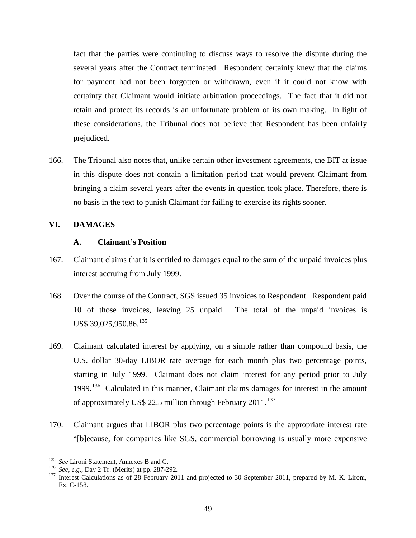fact that the parties were continuing to discuss ways to resolve the dispute during the several years after the Contract terminated. Respondent certainly knew that the claims for payment had not been forgotten or withdrawn, even if it could not know with certainty that Claimant would initiate arbitration proceedings. The fact that it did not retain and protect its records is an unfortunate problem of its own making. In light of these considerations, the Tribunal does not believe that Respondent has been unfairly prejudiced.

166. The Tribunal also notes that, unlike certain other investment agreements, the BIT at issue in this dispute does not contain a limitation period that would prevent Claimant from bringing a claim several years after the events in question took place. Therefore, there is no basis in the text to punish Claimant for failing to exercise its rights sooner.

### **VI. DAMAGES**

#### **A. Claimant's Position**

- 167. Claimant claims that it is entitled to damages equal to the sum of the unpaid invoices plus interest accruing from July 1999.
- 168. Over the course of the Contract, SGS issued 35 invoices to Respondent. Respondent paid 10 of those invoices, leaving 25 unpaid. The total of the unpaid invoices is US\$ 39,025,950.86.<sup>[135](#page-51-0)</sup>
- 169. Claimant calculated interest by applying, on a simple rather than compound basis, the U.S. dollar 30-day LIBOR rate average for each month plus two percentage points, starting in July 1999. Claimant does not claim interest for any period prior to July 1999.<sup>136</sup> Calculated in this manner, Claimant claims damages for interest in the amount of approximately US\$ 22.5 million through February 2011.<sup>[137](#page-51-2)</sup>
- 170. Claimant argues that LIBOR plus two percentage points is the appropriate interest rate "[b]ecause, for companies like SGS, commercial borrowing is usually more expensive

<span id="page-51-2"></span>

<span id="page-51-1"></span><span id="page-51-0"></span><sup>&</sup>lt;sup>135</sup> *See* Lironi Statement, Annexes B and C.<br><sup>136</sup> *See, e.g.*, Day 2 Tr. (Merits) at pp. 287-292.<br><sup>137</sup> Interest Calculations as of 28 February 2011 and projected to 30 September 2011, prepared by M. K. Lironi, Ex. C-158.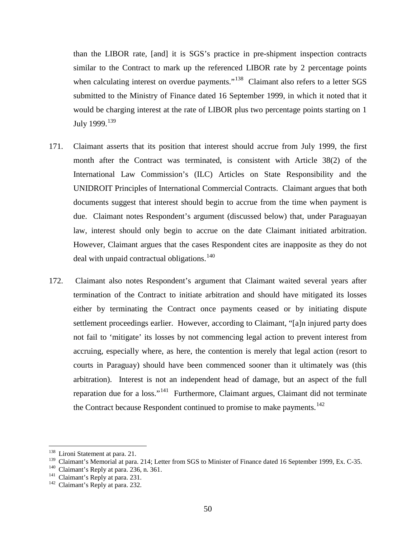than the LIBOR rate, [and] it is SGS's practice in pre-shipment inspection contracts similar to the Contract to mark up the referenced LIBOR rate by 2 percentage points when calculating interest on overdue payments."<sup>[138](#page-52-0)</sup> Claimant also refers to a letter SGS submitted to the Ministry of Finance dated 16 September 1999, in which it noted that it would be charging interest at the rate of LIBOR plus two percentage points starting on 1 July 1999.<sup>[139](#page-52-1)</sup>

- 171. Claimant asserts that its position that interest should accrue from July 1999, the first month after the Contract was terminated, is consistent with Article 38(2) of the International Law Commission's (ILC) Articles on State Responsibility and the UNIDROIT Principles of International Commercial Contracts. Claimant argues that both documents suggest that interest should begin to accrue from the time when payment is due. Claimant notes Respondent's argument (discussed below) that, under Paraguayan law, interest should only begin to accrue on the date Claimant initiated arbitration. However, Claimant argues that the cases Respondent cites are inapposite as they do not deal with unpaid contractual obligations.<sup>[140](#page-52-2)</sup>
- 172. Claimant also notes Respondent's argument that Claimant waited several years after termination of the Contract to initiate arbitration and should have mitigated its losses either by terminating the Contract once payments ceased or by initiating dispute settlement proceedings earlier. However, according to Claimant, "[a]n injured party does not fail to 'mitigate' its losses by not commencing legal action to prevent interest from accruing, especially where, as here, the contention is merely that legal action (resort to courts in Paraguay) should have been commenced sooner than it ultimately was (this arbitration). Interest is not an independent head of damage, but an aspect of the full reparation due for a loss."<sup>[141](#page-52-3)</sup> Furthermore, Claimant argues, Claimant did not terminate the Contract because Respondent continued to promise to make payments.<sup>[142](#page-52-4)</sup>

<span id="page-52-0"></span> <sup>138</sup> Lironi Statement at para. 21.

<span id="page-52-2"></span><span id="page-52-1"></span><sup>&</sup>lt;sup>139</sup> Claimant's Memorial at para. 214; Letter from SGS to Minister of Finance dated 16 September 1999, Ex. C-35. <sup>140</sup> Claimant's Reply at para. 231. <sup>142</sup> Claimant's Reply at para. 232.

<span id="page-52-3"></span>

<span id="page-52-4"></span>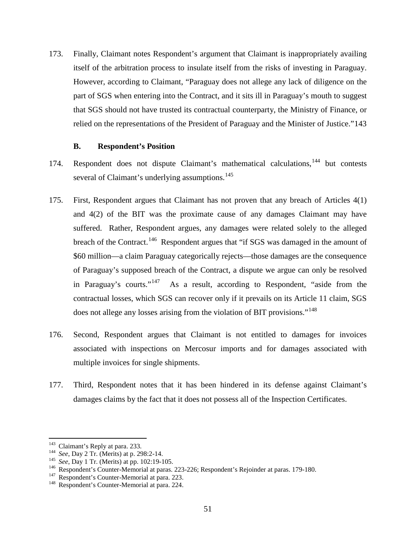173. Finally, Claimant notes Respondent's argument that Claimant is inappropriately availing itself of the arbitration process to insulate itself from the risks of investing in Paraguay. However, according to Claimant, "Paraguay does not allege any lack of diligence on the part of SGS when entering into the Contract, and it sits ill in Paraguay's mouth to suggest that SGS should not have trusted its contractual counterparty, the Ministry of Finance, or relied on the representations of the President of Paraguay and the Minister of Justice."[143](#page-53-0)

### **B. Respondent's Position**

- 174. Respondent does not dispute Claimant's mathematical calculations,<sup>[144](#page-53-1)</sup> but contests several of Claimant's underlying assumptions.<sup>[145](#page-53-2)</sup>
- 175. First, Respondent argues that Claimant has not proven that any breach of Articles 4(1) and 4(2) of the BIT was the proximate cause of any damages Claimant may have suffered. Rather, Respondent argues, any damages were related solely to the alleged breach of the Contract.<sup>146</sup> Respondent argues that "if SGS was damaged in the amount of \$60 million—a claim Paraguay categorically rejects—those damages are the consequence of Paraguay's supposed breach of the Contract, a dispute we argue can only be resolved in Paraguay's courts."<sup>[147](#page-53-4)</sup> As a result, according to Respondent, "aside from the contractual losses, which SGS can recover only if it prevails on its Article 11 claim, SGS does not allege any losses arising from the violation of BIT provisions."<sup>[148](#page-53-5)</sup>
- 176. Second, Respondent argues that Claimant is not entitled to damages for invoices associated with inspections on Mercosur imports and for damages associated with multiple invoices for single shipments.
- 177. Third, Respondent notes that it has been hindered in its defense against Claimant's damages claims by the fact that it does not possess all of the Inspection Certificates.

<span id="page-53-2"></span>

<span id="page-53-1"></span><span id="page-53-0"></span><sup>&</sup>lt;sup>143</sup> Claimant's Reply at para. 233.<br>
<sup>144</sup> *See*, Day 2 Tr. (Merits) at p. 298:2-14.<br>
<sup>145</sup> *See*, Day 1 Tr. (Merits) at pp. 102:19-105.<br>
<sup>146</sup> Respondent's Counter-Memorial at paras. 223-226; Respondent's Rejoinder at p

<span id="page-53-4"></span><span id="page-53-3"></span>

<span id="page-53-5"></span>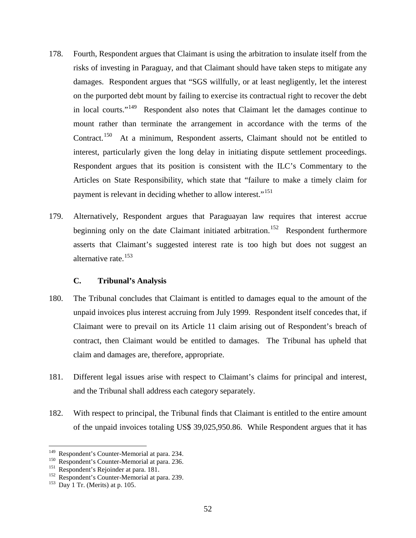- 178. Fourth, Respondent argues that Claimant is using the arbitration to insulate itself from the risks of investing in Paraguay, and that Claimant should have taken steps to mitigate any damages. Respondent argues that "SGS willfully, or at least negligently, let the interest on the purported debt mount by failing to exercise its contractual right to recover the debt in local courts."<sup>[149](#page-54-0)</sup> Respondent also notes that Claimant let the damages continue to mount rather than terminate the arrangement in accordance with the terms of the Contract.<sup>[150](#page-54-1)</sup> At a minimum, Respondent asserts, Claimant should not be entitled to interest, particularly given the long delay in initiating dispute settlement proceedings. Respondent argues that its position is consistent with the ILC's Commentary to the Articles on State Responsibility, which state that "failure to make a timely claim for payment is relevant in deciding whether to allow interest."<sup>[151](#page-54-2)</sup>
- 179. Alternatively, Respondent argues that Paraguayan law requires that interest accrue beginning only on the date Claimant initiated arbitration.<sup>[152](#page-54-3)</sup> Respondent furthermore asserts that Claimant's suggested interest rate is too high but does not suggest an alternative rate.<sup>[153](#page-54-4)</sup>

### **C. Tribunal's Analysis**

- 180. The Tribunal concludes that Claimant is entitled to damages equal to the amount of the unpaid invoices plus interest accruing from July 1999. Respondent itself concedes that, if Claimant were to prevail on its Article 11 claim arising out of Respondent's breach of contract, then Claimant would be entitled to damages. The Tribunal has upheld that claim and damages are, therefore, appropriate.
- 181. Different legal issues arise with respect to Claimant's claims for principal and interest, and the Tribunal shall address each category separately.
- 182. With respect to principal, the Tribunal finds that Claimant is entitled to the entire amount of the unpaid invoices totaling US\$ 39,025,950.86. While Respondent argues that it has

<span id="page-54-1"></span><span id="page-54-0"></span><sup>&</sup>lt;sup>149</sup> Respondent's Counter-Memorial at para. 234.<br><sup>150</sup> Respondent's Counter-Memorial at para. 236.<br><sup>151</sup> Respondent's Rejoinder at para. 181.<br><sup>152</sup> Respondent's Counter-Memorial at para. 239.<br><sup>153</sup> Day 1 Tr. (Merits) at p

<span id="page-54-2"></span>

<span id="page-54-4"></span><span id="page-54-3"></span>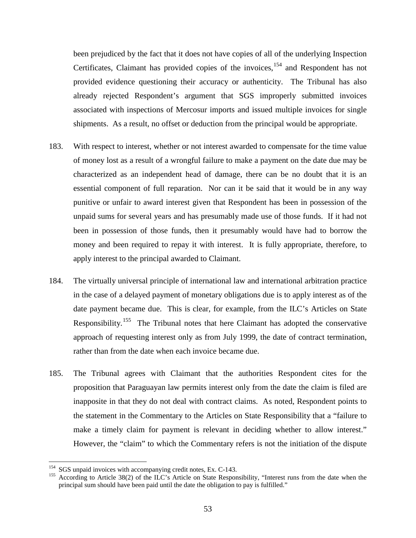been prejudiced by the fact that it does not have copies of all of the underlying Inspection Certificates, Claimant has provided copies of the invoices,  $154$  and Respondent has not provided evidence questioning their accuracy or authenticity. The Tribunal has also already rejected Respondent's argument that SGS improperly submitted invoices associated with inspections of Mercosur imports and issued multiple invoices for single shipments. As a result, no offset or deduction from the principal would be appropriate.

- 183. With respect to interest, whether or not interest awarded to compensate for the time value of money lost as a result of a wrongful failure to make a payment on the date due may be characterized as an independent head of damage, there can be no doubt that it is an essential component of full reparation. Nor can it be said that it would be in any way punitive or unfair to award interest given that Respondent has been in possession of the unpaid sums for several years and has presumably made use of those funds. If it had not been in possession of those funds, then it presumably would have had to borrow the money and been required to repay it with interest. It is fully appropriate, therefore, to apply interest to the principal awarded to Claimant.
- 184. The virtually universal principle of international law and international arbitration practice in the case of a delayed payment of monetary obligations due is to apply interest as of the date payment became due. This is clear, for example, from the ILC's Articles on State Responsibility.<sup>[155](#page-55-1)</sup> The Tribunal notes that here Claimant has adopted the conservative approach of requesting interest only as from July 1999, the date of contract termination, rather than from the date when each invoice became due.
- 185. The Tribunal agrees with Claimant that the authorities Respondent cites for the proposition that Paraguayan law permits interest only from the date the claim is filed are inapposite in that they do not deal with contract claims. As noted, Respondent points to the statement in the Commentary to the Articles on State Responsibility that a "failure to make a timely claim for payment is relevant in deciding whether to allow interest." However, the "claim" to which the Commentary refers is not the initiation of the dispute

<span id="page-55-1"></span><span id="page-55-0"></span><sup>&</sup>lt;sup>154</sup> SGS unpaid invoices with accompanying credit notes, Ex. C-143.<br><sup>155</sup> According to Article 38(2) of the ILC's Article on State Responsibility, "Interest runs from the date when the principal sum should have been paid until the date the obligation to pay is fulfilled."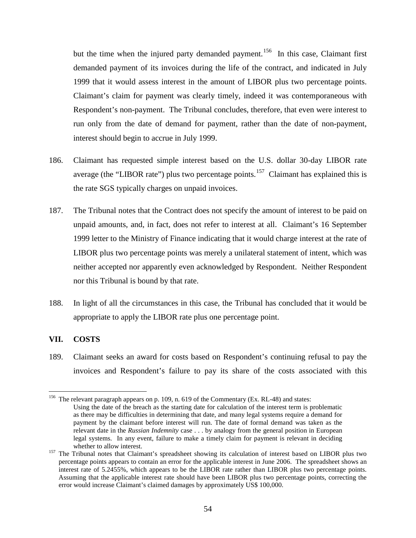but the time when the injured party demanded payment.<sup>156</sup> In this case, Claimant first demanded payment of its invoices during the life of the contract, and indicated in July 1999 that it would assess interest in the amount of LIBOR plus two percentage points. Claimant's claim for payment was clearly timely, indeed it was contemporaneous with Respondent's non-payment. The Tribunal concludes, therefore, that even were interest to run only from the date of demand for payment, rather than the date of non-payment, interest should begin to accrue in July 1999.

- 186. Claimant has requested simple interest based on the U.S. dollar 30-day LIBOR rate average (the "LIBOR rate") plus two percentage points.<sup>157</sup> Claimant has explained this is the rate SGS typically charges on unpaid invoices.
- 187. The Tribunal notes that the Contract does not specify the amount of interest to be paid on unpaid amounts, and, in fact, does not refer to interest at all. Claimant's 16 September 1999 letter to the Ministry of Finance indicating that it would charge interest at the rate of LIBOR plus two percentage points was merely a unilateral statement of intent, which was neither accepted nor apparently even acknowledged by Respondent. Neither Respondent nor this Tribunal is bound by that rate.
- 188. In light of all the circumstances in this case, the Tribunal has concluded that it would be appropriate to apply the LIBOR rate plus one percentage point.

### **VII. COSTS**

189. Claimant seeks an award for costs based on Respondent's continuing refusal to pay the invoices and Respondent's failure to pay its share of the costs associated with this

<span id="page-56-0"></span><sup>&</sup>lt;sup>156</sup> The relevant paragraph appears on p. 109, n. 619 of the Commentary (Ex. RL-48) and states: Using the date of the breach as the starting date for calculation of the interest term is problematic as there may be difficulties in determining that date, and many legal systems require a demand for payment by the claimant before interest will run. The date of formal demand was taken as the relevant date in the *Russian Indemnity* case . . . by analogy from the general position in European legal systems. In any event, failure to make a timely claim for payment is relevant in deciding

<span id="page-56-1"></span>whether to allow interest.<br><sup>157</sup> The Tribunal notes that Claimant's spreadsheet showing its calculation of interest based on LIBOR plus two percentage points appears to contain an error for the applicable interest in June 2006. The spreadsheet shows an interest rate of 5.2455%, which appears to be the LIBOR rate rather than LIBOR plus two percentage points. Assuming that the applicable interest rate should have been LIBOR plus two percentage points, correcting the error would increase Claimant's claimed damages by approximately US\$ 100,000.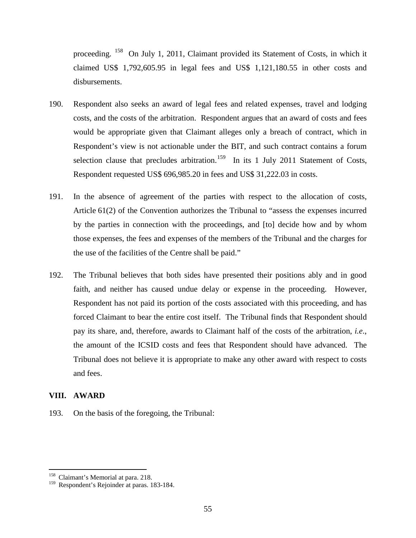proceeding. [158](#page-57-0) On July 1, 2011, Claimant provided its Statement of Costs, in which it claimed US\$ 1,792,605.95 in legal fees and US\$ 1,121,180.55 in other costs and disbursements.

- 190. Respondent also seeks an award of legal fees and related expenses, travel and lodging costs, and the costs of the arbitration. Respondent argues that an award of costs and fees would be appropriate given that Claimant alleges only a breach of contract, which in Respondent's view is not actionable under the BIT, and such contract contains a forum selection clause that precludes arbitration.<sup>[159](#page-57-1)</sup> In its 1 July 2011 Statement of Costs, Respondent requested US\$ 696,985.20 in fees and US\$ 31,222.03 in costs.
- 191. In the absence of agreement of the parties with respect to the allocation of costs, Article 61(2) of the Convention authorizes the Tribunal to "assess the expenses incurred by the parties in connection with the proceedings, and [to] decide how and by whom those expenses, the fees and expenses of the members of the Tribunal and the charges for the use of the facilities of the Centre shall be paid."
- 192. The Tribunal believes that both sides have presented their positions ably and in good faith, and neither has caused undue delay or expense in the proceeding. However, Respondent has not paid its portion of the costs associated with this proceeding, and has forced Claimant to bear the entire cost itself. The Tribunal finds that Respondent should pay its share, and, therefore, awards to Claimant half of the costs of the arbitration, *i.e*., the amount of the ICSID costs and fees that Respondent should have advanced. The Tribunal does not believe it is appropriate to make any other award with respect to costs and fees.

### **VIII. AWARD**

193. On the basis of the foregoing, the Tribunal:

<span id="page-57-0"></span><sup>&</sup>lt;sup>158</sup> Claimant's Memorial at para. 218.

<span id="page-57-1"></span><sup>&</sup>lt;sup>159</sup> Respondent's Rejoinder at paras. 183-184.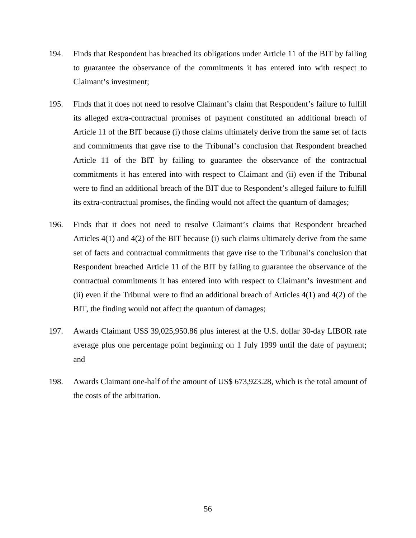- 194. Finds that Respondent has breached its obligations under Article 11 of the BIT by failing to guarantee the observance of the commitments it has entered into with respect to Claimant's investment;
- 195. Finds that it does not need to resolve Claimant's claim that Respondent's failure to fulfill its alleged extra-contractual promises of payment constituted an additional breach of Article 11 of the BIT because (i) those claims ultimately derive from the same set of facts and commitments that gave rise to the Tribunal's conclusion that Respondent breached Article 11 of the BIT by failing to guarantee the observance of the contractual commitments it has entered into with respect to Claimant and (ii) even if the Tribunal were to find an additional breach of the BIT due to Respondent's alleged failure to fulfill its extra-contractual promises, the finding would not affect the quantum of damages;
- 196. Finds that it does not need to resolve Claimant's claims that Respondent breached Articles 4(1) and 4(2) of the BIT because (i) such claims ultimately derive from the same set of facts and contractual commitments that gave rise to the Tribunal's conclusion that Respondent breached Article 11 of the BIT by failing to guarantee the observance of the contractual commitments it has entered into with respect to Claimant's investment and (ii) even if the Tribunal were to find an additional breach of Articles  $4(1)$  and  $4(2)$  of the BIT, the finding would not affect the quantum of damages;
- 197. Awards Claimant US\$ 39,025,950.86 plus interest at the U.S. dollar 30-day LIBOR rate average plus one percentage point beginning on 1 July 1999 until the date of payment; and
- 198. Awards Claimant one-half of the amount of US\$ 673,923.28, which is the total amount of the costs of the arbitration.